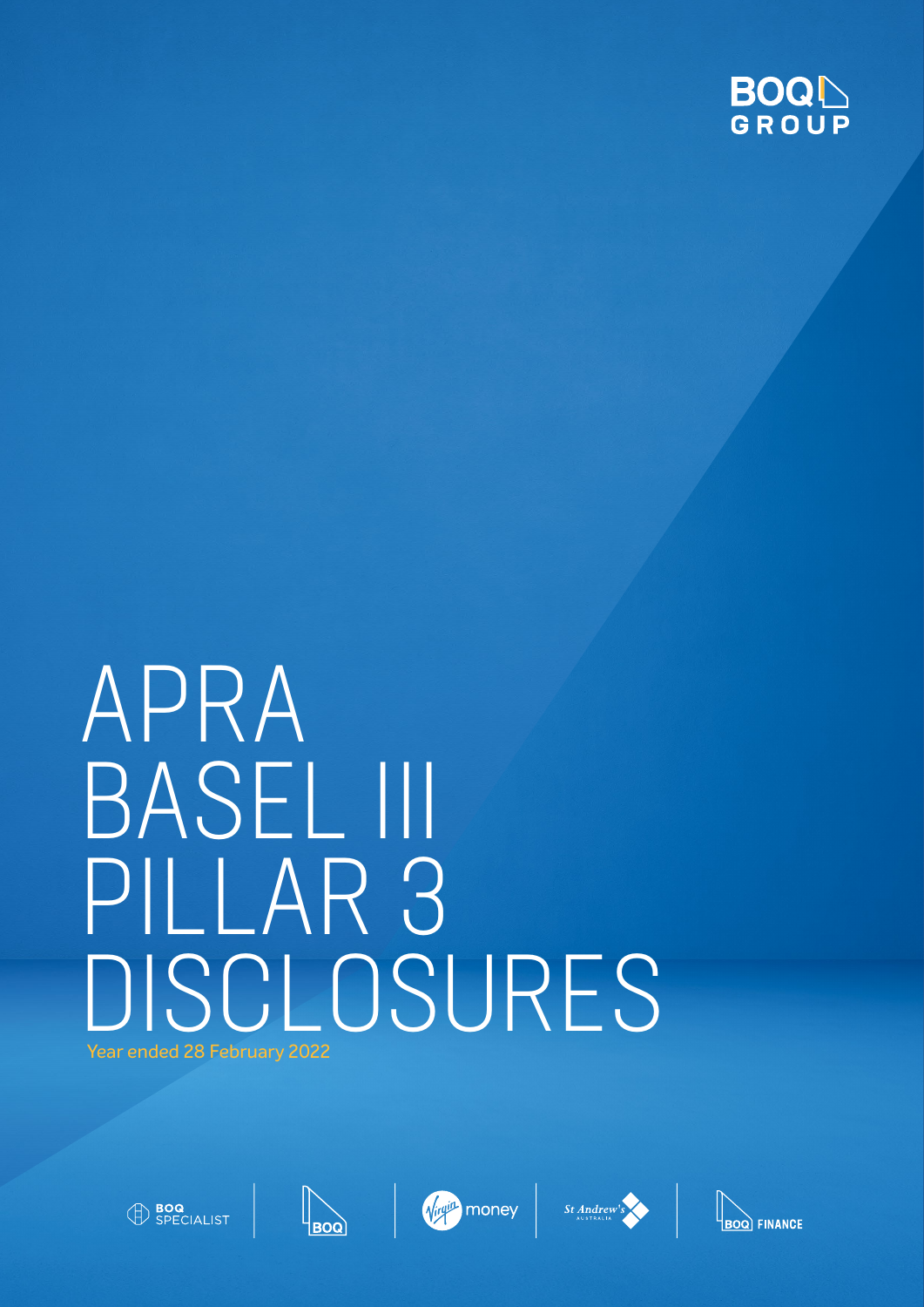

# APRA BASEL III PILLAR 3 DISCLOSURES Year ended 28 February 2022









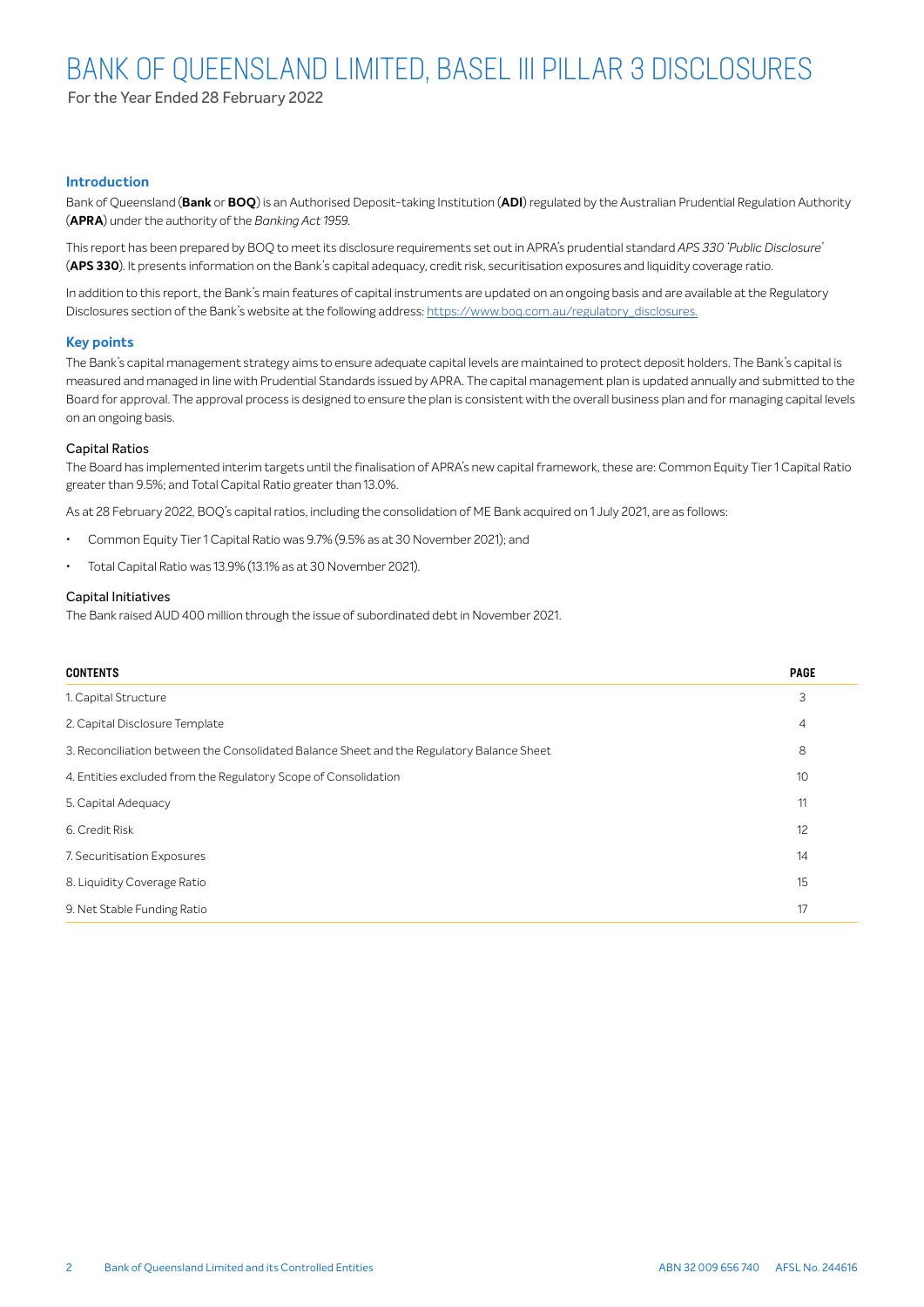For the Year Ended 28 February 2022

#### **Introduction**

Bank of Queensland (**Bank** or **BOQ**) is an Authorised Deposit-taking Institution (**ADI**) regulated by the Australian Prudential Regulation Authority (**APRA**) under the authority of the *Banking Act 1959*.

This report has been prepared by BOQ to meet its disclosure requirements set out in APRA's prudential standard *APS 330 'Public Disclosure'* (**APS 330**). It presents information on the Bank's capital adequacy, credit risk, securitisation exposures and liquidity coverage ratio.

In addition to this report, the Bank's main features of capital instruments are updated on an ongoing basis and are available at the Regulatory Disclosures section of the Bank's website at the following address: https://www.boq.com.au/regulatory\_disclosures.

#### **Key points**

The Bank's capital management strategy aims to ensure adequate capital levels are maintained to protect deposit holders. The Bank's capital is measured and managed in line with Prudential Standards issued by APRA. The capital management plan is updated annually and submitted to the Board for approval. The approval process is designed to ensure the plan is consistent with the overall business plan and for managing capital levels on an ongoing basis.

#### Capital Ratios

The Board has implemented interim targets until the finalisation of APRA's new capital framework, these are: Common Equity Tier 1 Capital Ratio greater than 9.5%; and Total Capital Ratio greater than 13.0%.

As at 28 February 2022, BOQ's capital ratios, including the consolidation of ME Bank acquired on 1 July 2021, are as follows:

- Common Equity Tier 1 Capital Ratio was 9.7% (9.5% as at 30 November 2021); and
- Total Capital Ratio was 13.9% (13.1% as at 30 November 2021).

#### Capital Initiatives

The Bank raised AUD 400 million through the issue of subordinated debt in November 2021.

| <b>CONTENTS</b>                                                                           | <b>PAGE</b> |
|-------------------------------------------------------------------------------------------|-------------|
| 1. Capital Structure                                                                      | 3           |
| 2. Capital Disclosure Template                                                            | 4           |
| 3. Reconciliation between the Consolidated Balance Sheet and the Regulatory Balance Sheet | 8           |
| 4. Entities excluded from the Regulatory Scope of Consolidation                           | 10          |
| 5. Capital Adequacy                                                                       | 11          |
| 6. Credit Risk                                                                            | 12          |
| 7. Securitisation Exposures                                                               | 14          |
| 8. Liquidity Coverage Ratio                                                               | 15          |
| 9. Net Stable Funding Ratio                                                               | 17          |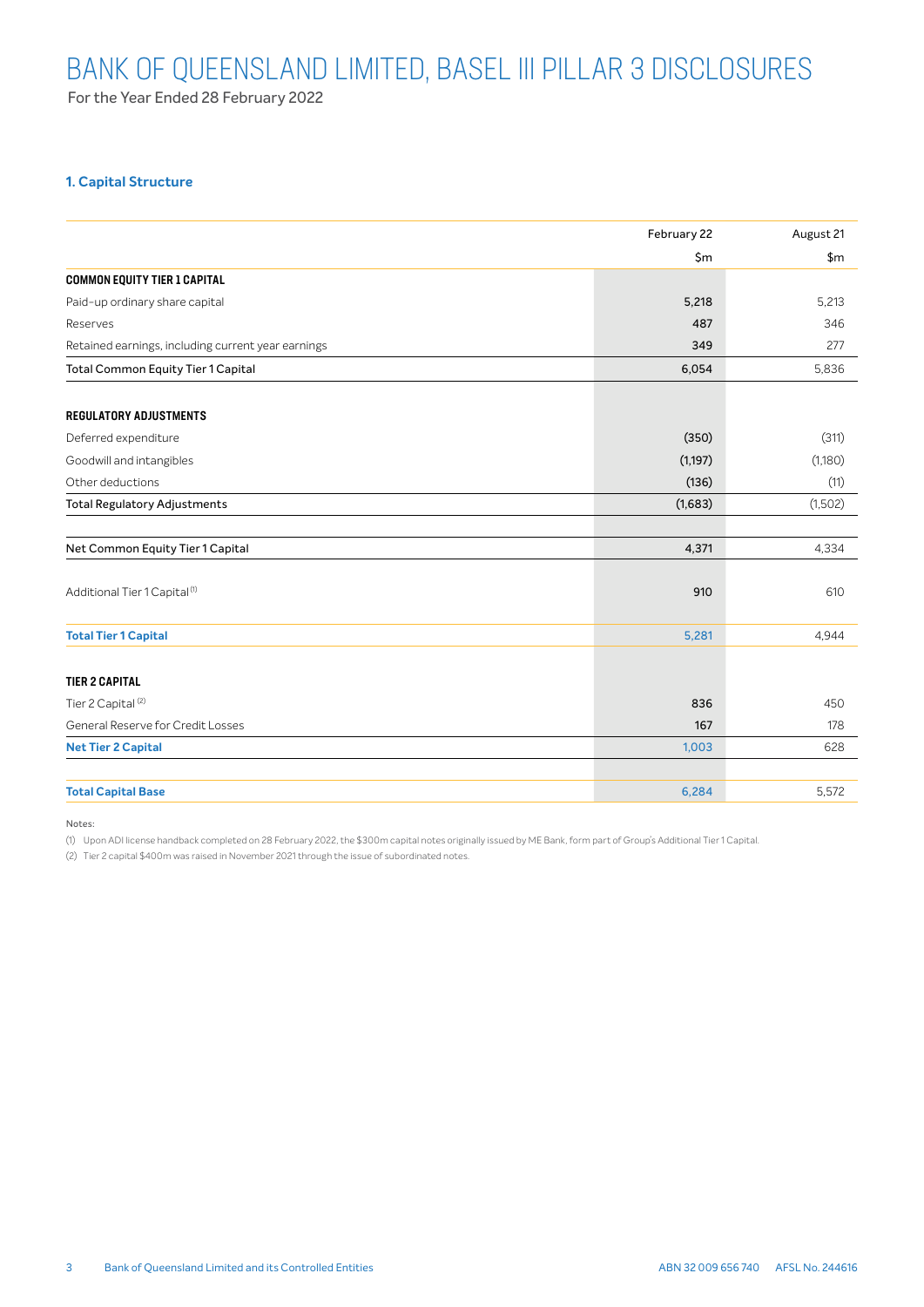For the Year Ended 28 February 2022

### **1. Capital Structure**

|                                                    | February 22 | August 21 |
|----------------------------------------------------|-------------|-----------|
|                                                    | \$m         | \$m\$     |
| <b>COMMON EQUITY TIER 1 CAPITAL</b>                |             |           |
| Paid-up ordinary share capital                     | 5,218       | 5,213     |
| Reserves                                           | 487         | 346       |
| Retained earnings, including current year earnings | 349         | 277       |
| <b>Total Common Equity Tier 1 Capital</b>          | 6,054       | 5,836     |
| <b>REGULATORY ADJUSTMENTS</b>                      |             |           |
| Deferred expenditure                               | (350)       | (311)     |
| Goodwill and intangibles                           | (1,197)     | (1,180)   |
| Other deductions                                   | (136)       | (11)      |
| <b>Total Regulatory Adjustments</b>                | (1,683)     | (1,502)   |
| Net Common Equity Tier 1 Capital                   | 4,371       | 4,334     |
| Additional Tier 1 Capital <sup>(1)</sup>           | 910         | 610       |
| <b>Total Tier 1 Capital</b>                        | 5,281       | 4,944     |
| <b>TIER 2 CAPITAL</b>                              |             |           |
| Tier 2 Capital <sup>(2)</sup>                      | 836         | 450       |
| General Reserve for Credit Losses                  | 167         | 178       |
| <b>Net Tier 2 Capital</b>                          | 1,003       | 628       |
| <b>Total Capital Base</b>                          | 6,284       | 5,572     |

Notes:

(1) Upon ADI license handback completed on 28 February 2022, the \$300m capital notes originally issued by ME Bank, form part of Group's Additional Tier 1 Capital.

(2) Tier 2 capital \$400m was raised in November 2021 through the issue of subordinated notes.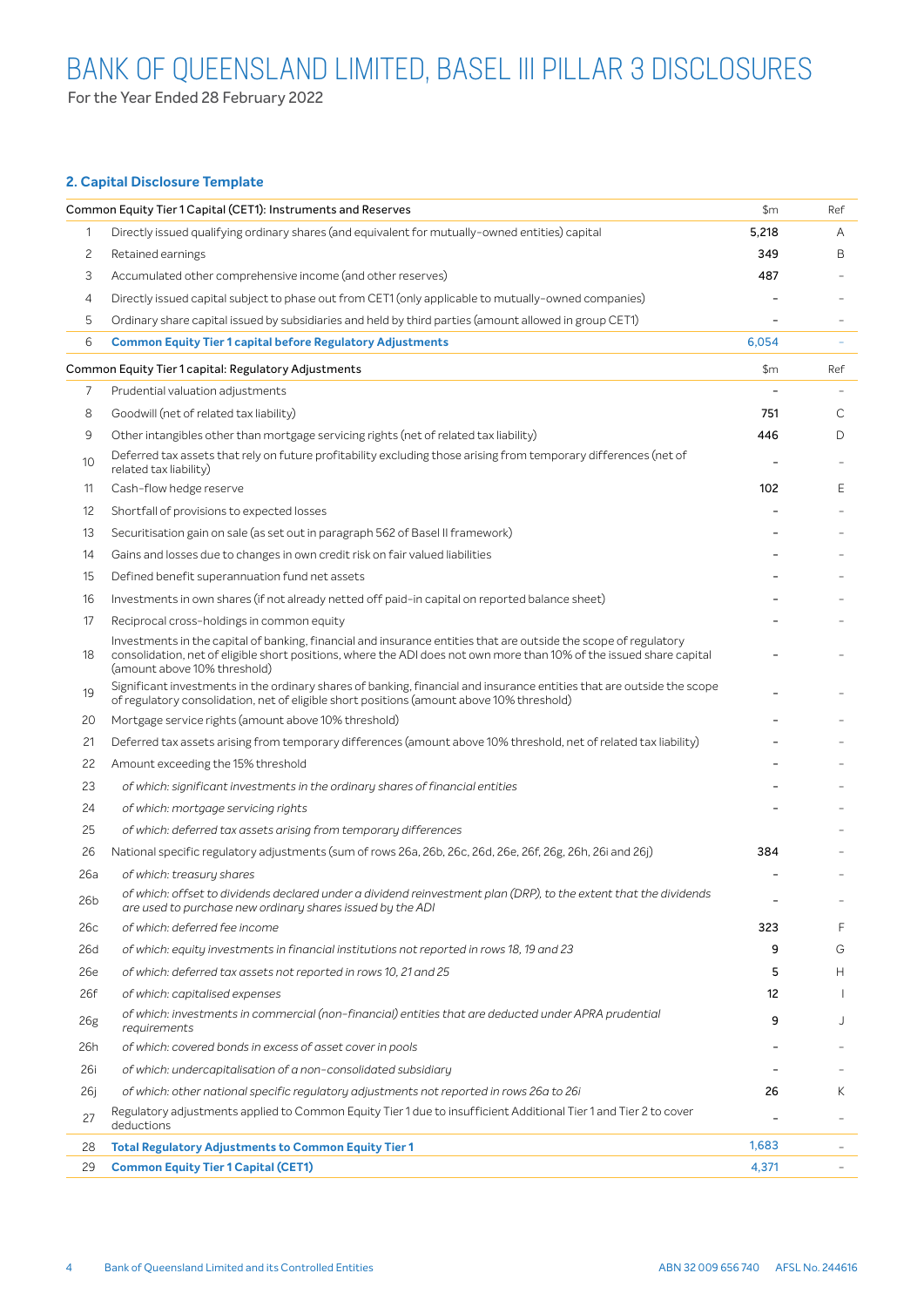For the Year Ended 28 February 2022

### **2. Capital Disclosure Template**

|                | Common Equity Tier 1 Capital (CET1): Instruments and Reserves                                                                                                                                                                                                            | \$m   | Ref |
|----------------|--------------------------------------------------------------------------------------------------------------------------------------------------------------------------------------------------------------------------------------------------------------------------|-------|-----|
| $\mathbf{1}$   | Directly issued qualifying ordinary shares (and equivalent for mutually-owned entities) capital                                                                                                                                                                          | 5,218 | Α   |
| $\overline{c}$ | Retained earnings                                                                                                                                                                                                                                                        | 349   | Β   |
| 3              | Accumulated other comprehensive income (and other reserves)                                                                                                                                                                                                              | 487   |     |
| 4              | Directly issued capital subject to phase out from CET1 (only applicable to mutually-owned companies)                                                                                                                                                                     |       |     |
| 5              | Ordinary share capital issued by subsidiaries and held by third parties (amount allowed in group CET1)                                                                                                                                                                   |       |     |
| 6              | <b>Common Equity Tier 1 capital before Regulatory Adjustments</b>                                                                                                                                                                                                        | 6,054 |     |
|                | Common Equity Tier 1 capital: Regulatory Adjustments                                                                                                                                                                                                                     | \$m   | Ref |
| 7              | Prudential valuation adjustments                                                                                                                                                                                                                                         |       |     |
| 8              | Goodwill (net of related tax liability)                                                                                                                                                                                                                                  | 751   | С   |
| 9              | Other intangibles other than mortgage servicing rights (net of related tax liability)                                                                                                                                                                                    | 446   | D   |
| 10             | Deferred tax assets that rely on future profitability excluding those arising from temporary differences (net of<br>related tax liability)                                                                                                                               |       |     |
| 11             | Cash-flow hedge reserve                                                                                                                                                                                                                                                  | 102   | Ε   |
| 12             | Shortfall of provisions to expected losses                                                                                                                                                                                                                               |       |     |
| 13             | Securitisation gain on sale (as set out in paragraph 562 of Basel II framework)                                                                                                                                                                                          |       |     |
| 14             | Gains and losses due to changes in own credit risk on fair valued liabilities                                                                                                                                                                                            |       |     |
| 15             | Defined benefit superannuation fund net assets                                                                                                                                                                                                                           |       |     |
| 16             | Investments in own shares (if not already netted off paid-in capital on reported balance sheet)                                                                                                                                                                          |       |     |
| 17             | Reciprocal cross-holdings in common equity                                                                                                                                                                                                                               |       |     |
| 18             | Investments in the capital of banking, financial and insurance entities that are outside the scope of regulatory<br>consolidation, net of eligible short positions, where the ADI does not own more than 10% of the issued share capital<br>(amount above 10% threshold) |       |     |
| 19             | Significant investments in the ordinary shares of banking, financial and insurance entities that are outside the scope<br>of regulatory consolidation, net of eligible short positions (amount above 10% threshold)                                                      |       |     |
| 20             | Mortgage service rights (amount above 10% threshold)                                                                                                                                                                                                                     |       |     |
| 21             | Deferred tax assets arising from temporary differences (amount above 10% threshold, net of related tax liability)                                                                                                                                                        |       |     |
| 22             | Amount exceeding the 15% threshold                                                                                                                                                                                                                                       |       |     |
| 23             | of which: significant investments in the ordinary shares of financial entities                                                                                                                                                                                           |       |     |
| 24             | of which: mortgage servicing rights                                                                                                                                                                                                                                      |       |     |
| 25             | of which: deferred tax assets arising from temporary differences                                                                                                                                                                                                         |       |     |
| 26             | National specific regulatory adjustments (sum of rows 26a, 26b, 26c, 26d, 26e, 26f, 26g, 26h, 26i and 26j)                                                                                                                                                               | 384   |     |
| 26a            | of which: treasury shares                                                                                                                                                                                                                                                |       |     |
| 26b            | of which: offset to dividends declared under a dividend reinvestment plan (DRP), to the extent that the dividends<br>are used to purchase new ordinary shares issued by the ADI                                                                                          |       |     |
| 26с            | of which: deferred fee income                                                                                                                                                                                                                                            | 323   | F   |
| 26d            | of which: equity investments in financial institutions not reported in rows 18, 19 and 23                                                                                                                                                                                | 9     | G   |
| 26e            | of which: deferred tax assets not reported in rows 10, 21 and 25                                                                                                                                                                                                         | 5     | H.  |
| 26f            | of which: capitalised expenses                                                                                                                                                                                                                                           | 12    |     |
| 26g            | of which: investments in commercial (non-financial) entities that are deducted under APRA prudential<br>requirements                                                                                                                                                     | 9     | J   |
| 26h            | of which: covered bonds in excess of asset cover in pools                                                                                                                                                                                                                |       |     |
| 26i            | of which: undercapitalisation of a non-consolidated subsidiary                                                                                                                                                                                                           |       |     |
| 26j            | of which: other national specific regulatory adjustments not reported in rows 26a to 26i                                                                                                                                                                                 | 26    | K   |
| 27             | Regulatory adjustments applied to Common Equity Tier 1 due to insufficient Additional Tier 1 and Tier 2 to cover<br>deductions                                                                                                                                           |       |     |
| 28             | <b>Total Regulatory Adjustments to Common Equity Tier 1</b>                                                                                                                                                                                                              | 1,683 |     |
| 29             | <b>Common Equity Tier 1 Capital (CET1)</b>                                                                                                                                                                                                                               | 4,371 |     |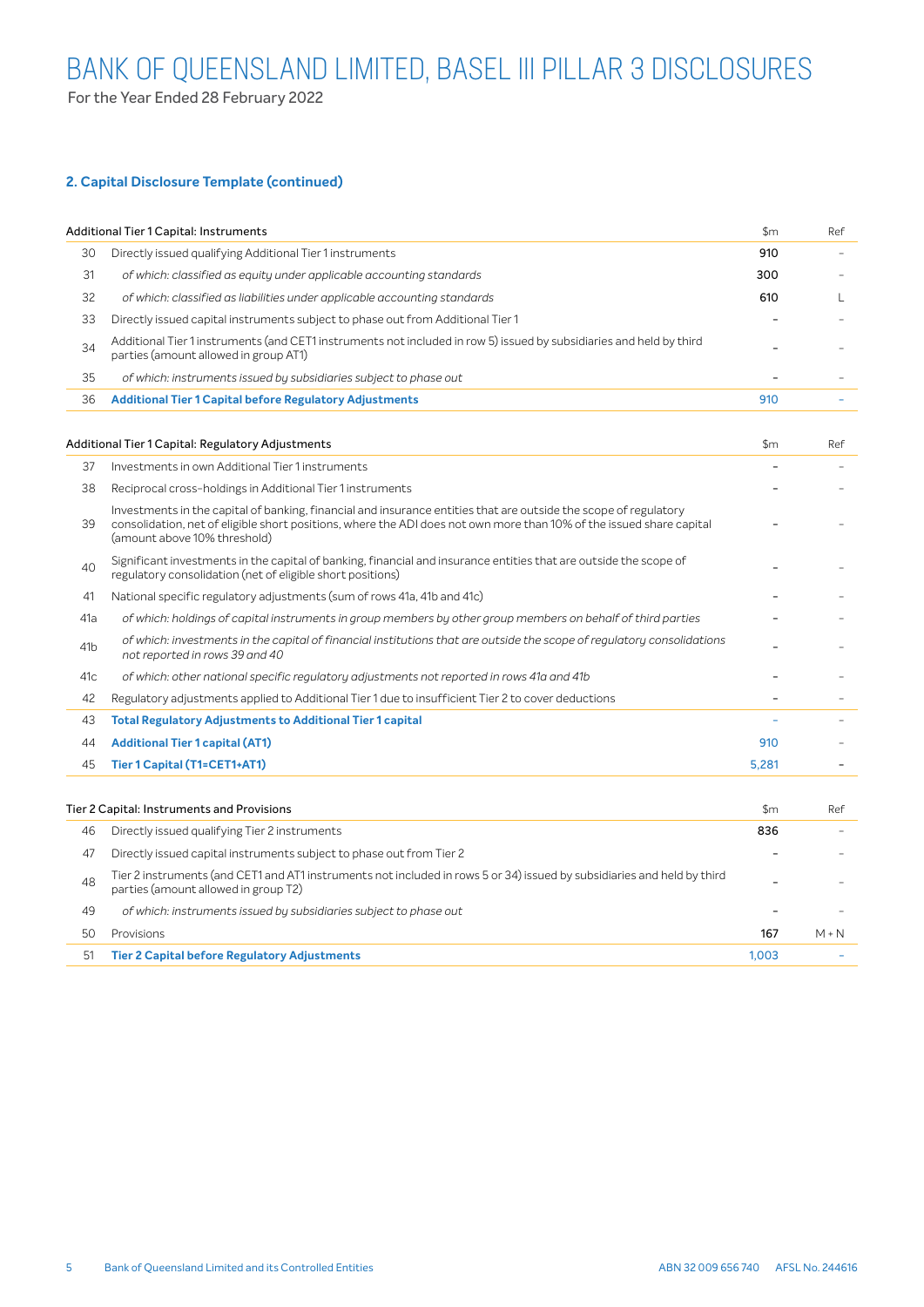### **2. Capital Disclosure Template (continued)**

|    | Additional Tier 1 Capital: Instruments                                                                                                                                                                                                                                   | $\mathsf{Sm}$ | Ref |
|----|--------------------------------------------------------------------------------------------------------------------------------------------------------------------------------------------------------------------------------------------------------------------------|---------------|-----|
| 30 | Directly issued qualifying Additional Tier 1 instruments                                                                                                                                                                                                                 | 910           |     |
| 31 | of which: classified as equity under applicable accounting standards                                                                                                                                                                                                     | 300           |     |
| 32 | of which: classified as liabilities under applicable accounting standards                                                                                                                                                                                                | 610           |     |
| 33 | Directly issued capital instruments subject to phase out from Additional Tier 1                                                                                                                                                                                          |               |     |
| 34 | Additional Tier 1 instruments (and CET1 instruments not included in row 5) issued by subsidiaries and held by third<br>parties (amount allowed in group AT1)                                                                                                             |               |     |
| 35 | of which: instruments issued by subsidiaries subject to phase out                                                                                                                                                                                                        |               |     |
| 36 | <b>Additional Tier 1 Capital before Regulatory Adjustments</b>                                                                                                                                                                                                           | 910           |     |
|    |                                                                                                                                                                                                                                                                          |               |     |
|    | Additional Tier 1 Capital: Regulatory Adjustments                                                                                                                                                                                                                        | \$m\$         | Ref |
| 37 | Investments in own Additional Tier 1 instruments                                                                                                                                                                                                                         |               |     |
| 38 | Reciprocal cross-holdings in Additional Tier 1 instruments                                                                                                                                                                                                               |               |     |
| 39 | Investments in the capital of banking, financial and insurance entities that are outside the scope of regulatory<br>consolidation, net of eligible short positions, where the ADI does not own more than 10% of the issued share capital<br>(amount above 10% threshold) |               |     |
| 40 | Significant investments in the capital of banking, financial and insurance entities that are outside the scope of<br>regulatory consolidation (net of eligible short positions)                                                                                          |               |     |

| 41  | National specific regulatory adjustments (sum of rows 41a, 41b and 41c)                                                |   |  |
|-----|------------------------------------------------------------------------------------------------------------------------|---|--|
| 41a | of which: holdings of capital instruments in group members by other group members on behalf of third parties           | - |  |
| 41b | of which: investments in the capital of financial institutions that are outside the scope of regulatory consolidations |   |  |

| 41 <sub>b</sub> | or writer. Investments in the capital or mianoia institutions that are outside the seope or requiditory consolidations<br>not reported in rows 39 and 40 |       |  |
|-----------------|----------------------------------------------------------------------------------------------------------------------------------------------------------|-------|--|
| 41c             | of which: other national specific regulatory adjustments not reported in rows 41a and 41b                                                                |       |  |
| 42              | Regulatory adjustments applied to Additional Tier 1 due to insufficient Tier 2 to cover deductions                                                       |       |  |
| 43              | <b>Total Regulatory Adjustments to Additional Tier 1 capital</b>                                                                                         |       |  |
| 44              | <b>Additional Tier 1 capital (AT1)</b>                                                                                                                   | 910   |  |
| 45              | Tier 1 Capital (T1=CET1+AT1)                                                                                                                             | 5.281 |  |

|    | Tier 2 Capital: Instruments and Provisions                                                                                                                      | \$m   | Ref     |
|----|-----------------------------------------------------------------------------------------------------------------------------------------------------------------|-------|---------|
| 46 | Directly issued qualifying Tier 2 instruments                                                                                                                   | 836   |         |
| 47 | Directly issued capital instruments subject to phase out from Tier 2                                                                                            |       |         |
| 48 | Tier 2 instruments (and CET1 and AT1 instruments not included in rows 5 or 34) issued by subsidiaries and held by third<br>parties (amount allowed in group T2) |       |         |
| 49 | of which: instruments issued by subsidiaries subject to phase out                                                                                               |       |         |
| 50 | Provisions                                                                                                                                                      | 167   | $M + N$ |
| 51 | <b>Tier 2 Capital before Regulatory Adjustments</b>                                                                                                             | 1.003 |         |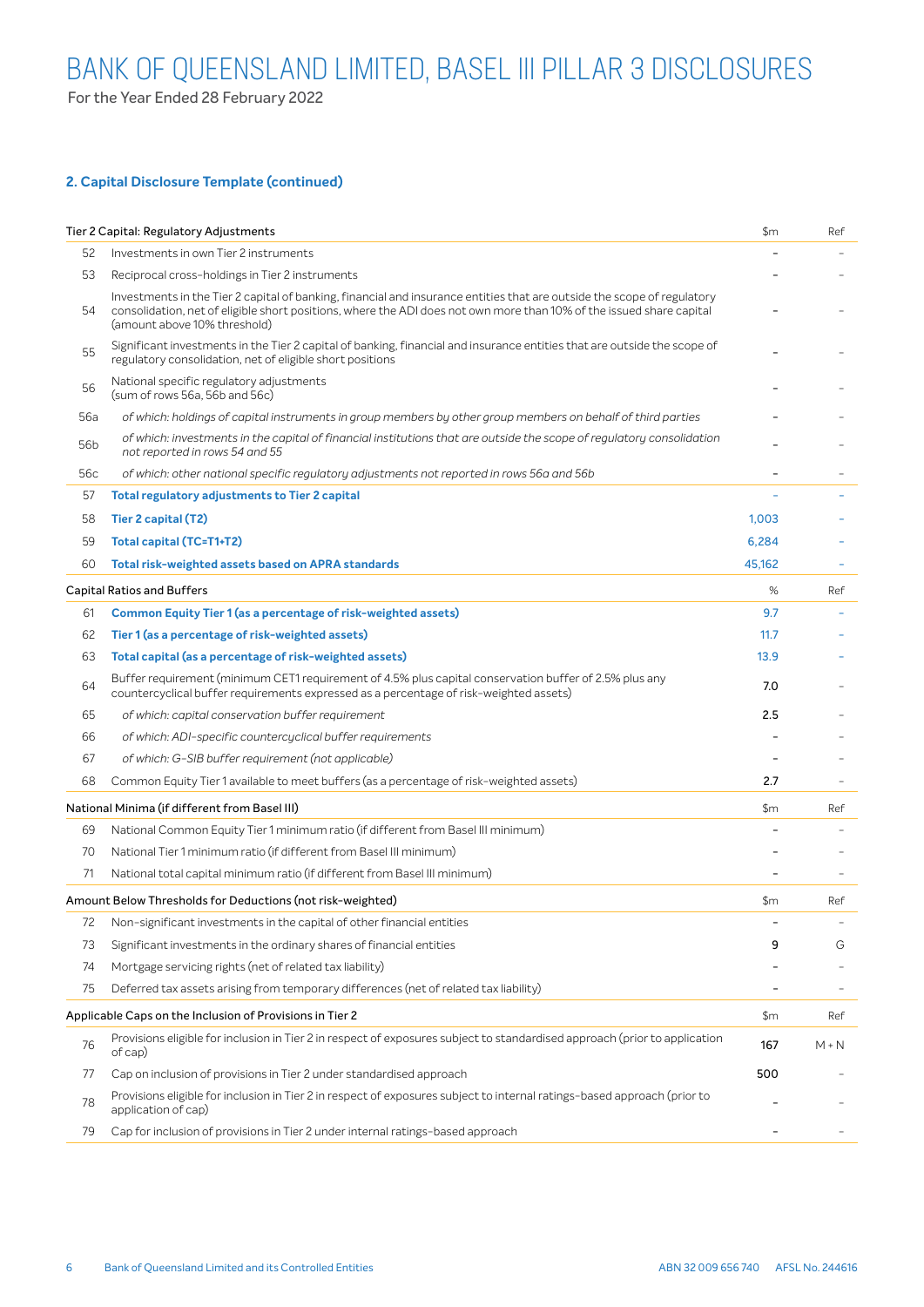For the Year Ended 28 February 2022

### **2. Capital Disclosure Template (continued)**

|     | Tier 2 Capital: Regulatory Adjustments                                                                                                                                                                                                                                          | \$m    | Ref     |
|-----|---------------------------------------------------------------------------------------------------------------------------------------------------------------------------------------------------------------------------------------------------------------------------------|--------|---------|
| 52  | Investments in own Tier 2 instruments                                                                                                                                                                                                                                           |        |         |
| 53  | Reciprocal cross-holdings in Tier 2 instruments                                                                                                                                                                                                                                 |        |         |
| 54  | Investments in the Tier 2 capital of banking, financial and insurance entities that are outside the scope of regulatory<br>consolidation, net of eligible short positions, where the ADI does not own more than 10% of the issued share capital<br>(amount above 10% threshold) |        |         |
| 55  | Significant investments in the Tier 2 capital of banking, financial and insurance entities that are outside the scope of<br>regulatory consolidation, net of eligible short positions                                                                                           |        |         |
| 56  | National specific regulatory adjustments<br>(sum of rows 56a, 56b and 56c)                                                                                                                                                                                                      |        |         |
| 56a | of which: holdings of capital instruments in group members by other group members on behalf of third parties                                                                                                                                                                    |        |         |
| 56b | of which: investments in the capital of financial institutions that are outside the scope of regulatory consolidation<br>not reported in rows 54 and 55                                                                                                                         |        |         |
| 56c | of which: other national specific regulatory adjustments not reported in rows 56a and 56b                                                                                                                                                                                       |        |         |
| 57  | <b>Total regulatory adjustments to Tier 2 capital</b>                                                                                                                                                                                                                           |        |         |
| 58  | Tier 2 capital (T2)                                                                                                                                                                                                                                                             | 1,003  |         |
| 59  | Total capital (TC=T1+T2)                                                                                                                                                                                                                                                        | 6,284  |         |
| 60  | Total risk-weighted assets based on APRA standards                                                                                                                                                                                                                              | 45,162 |         |
|     | <b>Capital Ratios and Buffers</b>                                                                                                                                                                                                                                               | %      | Ref     |
| 61  | Common Equity Tier 1 (as a percentage of risk-weighted assets)                                                                                                                                                                                                                  | 9.7    |         |
| 62  | Tier 1 (as a percentage of risk-weighted assets)                                                                                                                                                                                                                                | 11.7   |         |
| 63  | Total capital (as a percentage of risk-weighted assets)                                                                                                                                                                                                                         | 13.9   |         |
| 64  | Buffer requirement (minimum CET1 requirement of 4.5% plus capital conservation buffer of 2.5% plus any<br>countercyclical buffer requirements expressed as a percentage of risk-weighted assets)                                                                                | 7.0    |         |
| 65  | of which: capital conservation buffer requirement                                                                                                                                                                                                                               | 2.5    |         |
| 66  | of which: ADI-specific countercyclical buffer requirements                                                                                                                                                                                                                      |        |         |
| 67  | of which: G-SIB buffer requirement (not applicable)                                                                                                                                                                                                                             |        |         |
| 68  | Common Equity Tier 1 available to meet buffers (as a percentage of risk-weighted assets)                                                                                                                                                                                        | 2.7    |         |
|     | National Minima (if different from Basel III)                                                                                                                                                                                                                                   | \$m    | Ref     |
| 69  | National Common Equity Tier 1 minimum ratio (if different from Basel III minimum)                                                                                                                                                                                               |        |         |
| 70  | National Tier 1 minimum ratio (if different from Basel III minimum)                                                                                                                                                                                                             |        |         |
| 71  | National total capital minimum ratio (if different from Basel III minimum)                                                                                                                                                                                                      |        |         |
|     | Amount Below Thresholds for Deductions (not risk-weighted)                                                                                                                                                                                                                      | \$m    | Ref     |
| 72  | Non-significant investments in the capital of other financial entities                                                                                                                                                                                                          |        |         |
| 73  | Significant investments in the ordinary shares of financial entities                                                                                                                                                                                                            | 9      | G       |
| 74  | Mortgage servicing rights (net of related tax liability)                                                                                                                                                                                                                        |        |         |
| 75  | Deferred tax assets arising from temporary differences (net of related tax liability)                                                                                                                                                                                           |        |         |
|     | Applicable Caps on the Inclusion of Provisions in Tier 2                                                                                                                                                                                                                        | \$m    | Ref     |
| 76  | Provisions eligible for inclusion in Tier 2 in respect of exposures subject to standardised approach (prior to application<br>of cap)                                                                                                                                           | 167    | $M + N$ |
| 77  | Cap on inclusion of provisions in Tier 2 under standardised approach                                                                                                                                                                                                            | 500    |         |
| 78  | Provisions eligible for inclusion in Tier 2 in respect of exposures subject to internal ratings-based approach (prior to<br>application of cap)                                                                                                                                 |        |         |
| 79  | Cap for inclusion of provisions in Tier 2 under internal ratings-based approach                                                                                                                                                                                                 |        |         |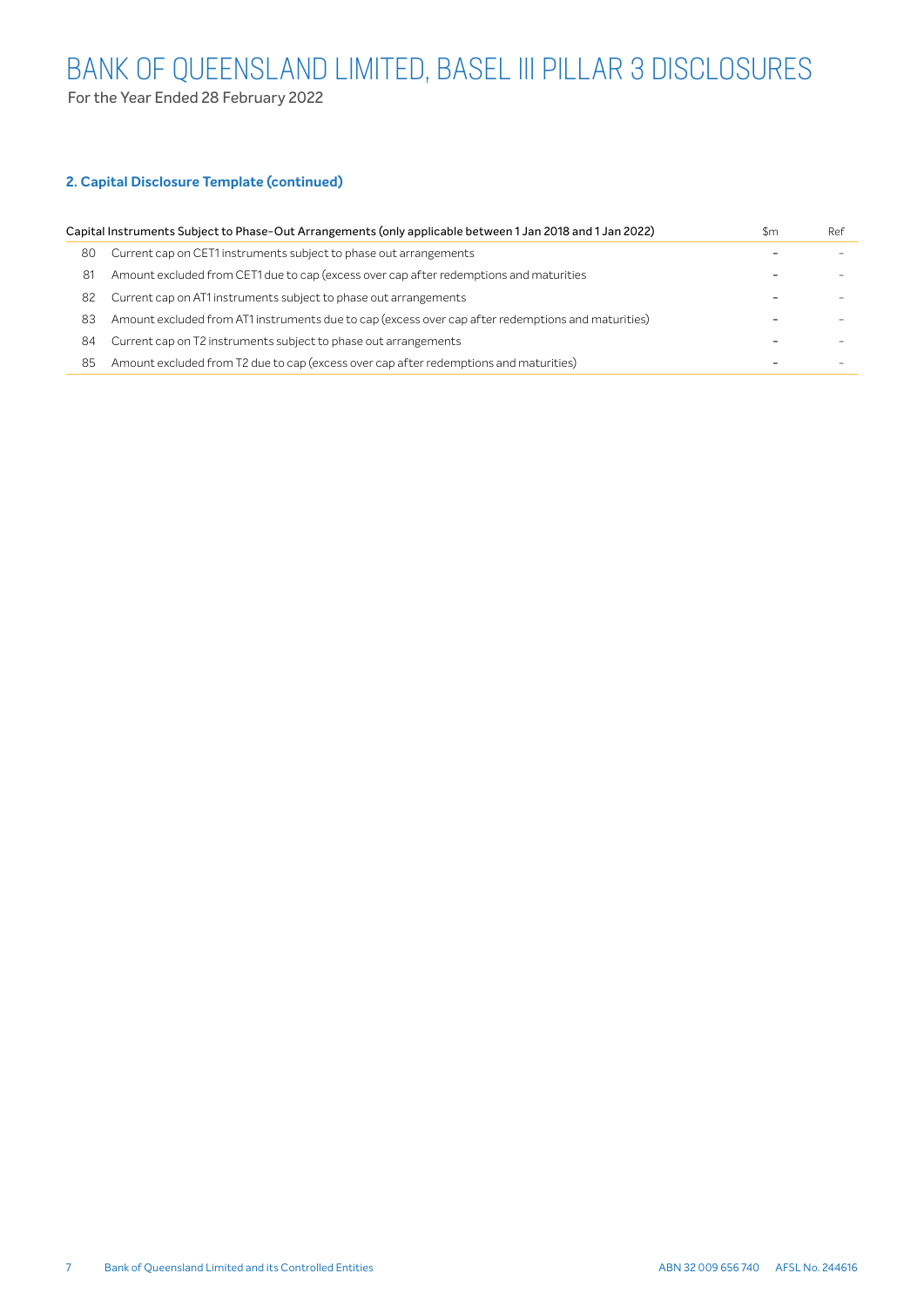For the Year Ended 28 February 2022

# **2. Capital Disclosure Template (continued)**

|    | Capital Instruments Subject to Phase-Out Arrangements (only applicable between 1 Jan 2018 and 1 Jan 2022) | \$m | Ref |
|----|-----------------------------------------------------------------------------------------------------------|-----|-----|
| 80 | Current cap on CET1 instruments subject to phase out arrangements                                         |     |     |
| 81 | Amount excluded from CET1 due to cap (excess over cap after redemptions and maturities                    |     |     |
| 82 | Current cap on AT1 instruments subject to phase out arrangements                                          |     |     |
| 83 | Amount excluded from AT1 instruments due to cap (excess over cap after redemptions and maturities)        |     |     |
| 84 | Current cap on T2 instruments subject to phase out arrangements                                           |     |     |
| 85 | Amount excluded from T2 due to cap (excess over cap after redemptions and maturities)                     |     |     |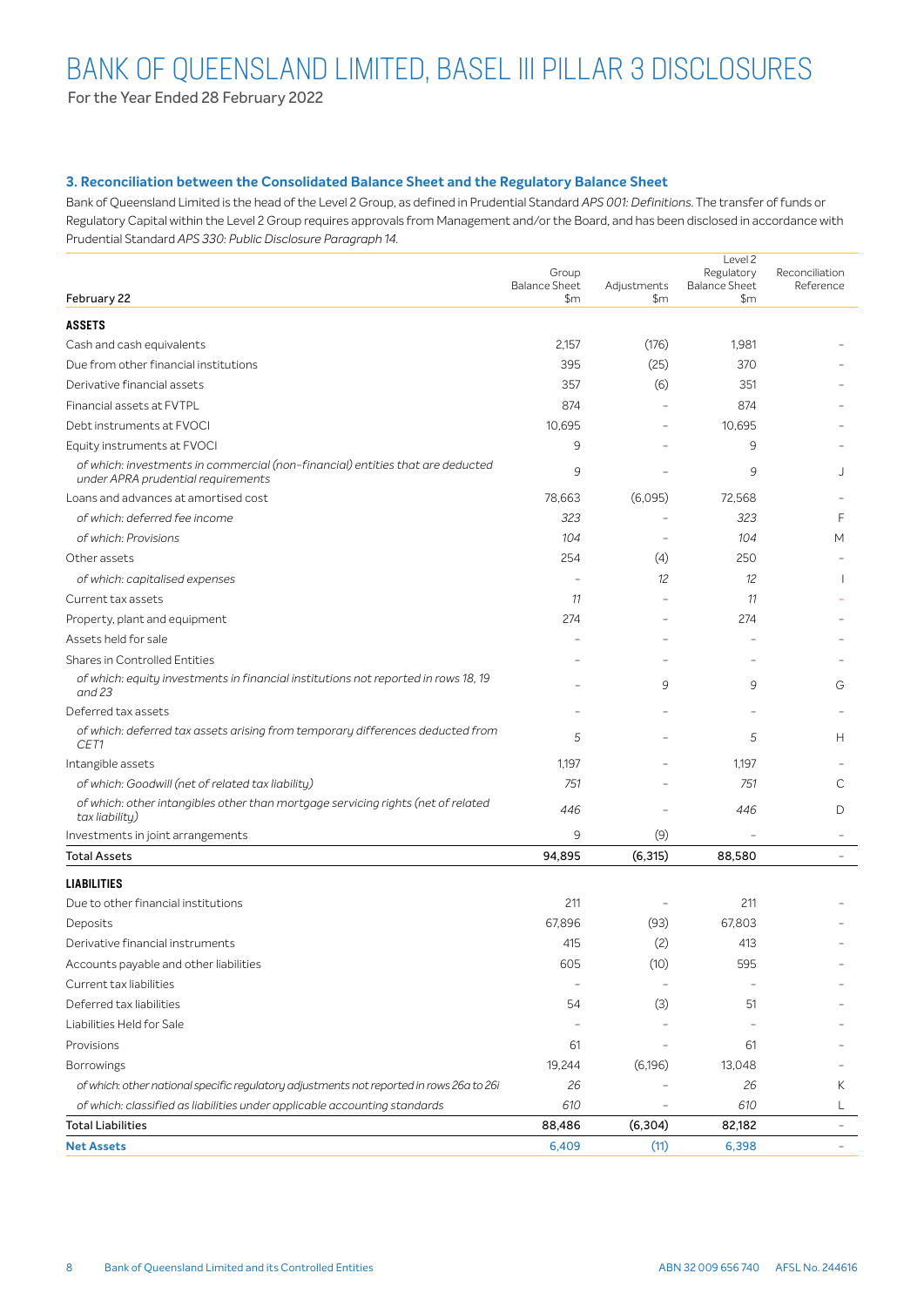For the Year Ended 28 February 2022

### **3. Reconciliation between the Consolidated Balance Sheet and the Regulatory Balance Sheet**

Bank of Queensland Limited is the head of the Level 2 Group, as defined in Prudential Standard *APS 001: Definitions*. The transfer of funds or Regulatory Capital within the Level 2 Group requires approvals from Management and/or the Board, and has been disclosed in accordance with Prudential Standard *APS 330: Public Disclosure Paragraph 14*.

| February 22                                                                                                          | Group<br><b>Balance Sheet</b><br>$\mathsf{Sm}$ | Adjustments<br>\$m | Level 2<br>Regulatory<br><b>Balance Sheet</b><br>\$m | Reconciliation<br>Reference |
|----------------------------------------------------------------------------------------------------------------------|------------------------------------------------|--------------------|------------------------------------------------------|-----------------------------|
| <b>ASSETS</b>                                                                                                        |                                                |                    |                                                      |                             |
| Cash and cash equivalents                                                                                            | 2,157                                          | (176)              | 1,981                                                |                             |
| Due from other financial institutions                                                                                | 395                                            | (25)               | 370                                                  |                             |
| Derivative financial assets                                                                                          | 357                                            | (6)                | 351                                                  |                             |
| Financial assets at FVTPL                                                                                            | 874                                            |                    | 874                                                  |                             |
| Debt instruments at FVOCI                                                                                            | 10,695                                         |                    | 10,695                                               |                             |
| Equity instruments at FVOCI                                                                                          | 9                                              |                    | 9                                                    |                             |
| of which: investments in commercial (non-financial) entities that are deducted<br>under APRA prudential requirements | 9                                              |                    | 9                                                    |                             |
| Loans and advances at amortised cost                                                                                 | 78,663                                         | (6,095)            | 72,568                                               |                             |
| of which: deferred fee income                                                                                        | 323                                            |                    | 323                                                  | F                           |
| of which: Provisions                                                                                                 | 104                                            |                    | 104                                                  | М                           |
| Other assets                                                                                                         | 254                                            | (4)                | 250                                                  |                             |
| of which: capitalised expenses                                                                                       |                                                | 12                 | 12                                                   |                             |
| Current tax assets                                                                                                   | 11                                             |                    | 11                                                   |                             |
| Property, plant and equipment                                                                                        | 274                                            |                    | 274                                                  |                             |
| Assets held for sale                                                                                                 |                                                |                    |                                                      |                             |
| Shares in Controlled Entities                                                                                        |                                                |                    |                                                      |                             |
| of which: equity investments in financial institutions not reported in rows 18, 19<br>and 23                         |                                                | 9                  | 9                                                    | G                           |
| Deferred tax assets                                                                                                  |                                                |                    |                                                      |                             |
| of which: deferred tax assets arising from temporary differences deducted from<br>CET1                               | 5                                              |                    | 5                                                    | н                           |
| Intangible assets                                                                                                    | 1,197                                          |                    | 1,197                                                |                             |
| of which: Goodwill (net of related tax liability)                                                                    | 751                                            |                    | 751                                                  | С                           |
| of which: other intangibles other than mortgage servicing rights (net of related<br>tax liability)                   | 446                                            |                    | 446                                                  | D                           |
| Investments in joint arrangements                                                                                    | 9                                              | (9)                |                                                      |                             |
| <b>Total Assets</b>                                                                                                  | 94,895                                         | (6, 315)           | 88,580                                               |                             |
| <b>LIABILITIES</b>                                                                                                   |                                                |                    |                                                      |                             |
| Due to other financial institutions                                                                                  | 211                                            |                    | 211                                                  |                             |
| Deposits                                                                                                             | 67,896                                         | (93)               | 67,803                                               |                             |
| Derivative financial instruments                                                                                     | 415                                            | (2)                | 413                                                  |                             |
| Accounts payable and other liabilities                                                                               | 605                                            | (10)               | 595                                                  |                             |
| Current tax liabilities                                                                                              |                                                |                    |                                                      |                             |
| Deferred tax liabilities                                                                                             | 54                                             | (3)                | 51                                                   |                             |
| Liabilities Held for Sale                                                                                            |                                                |                    |                                                      |                             |
| Provisions                                                                                                           | 61                                             |                    | 61                                                   |                             |
| <b>Borrowings</b>                                                                                                    | 19,244                                         | (6, 196)           | 13,048                                               |                             |
| of which: other national specific regulatory adjustments not reported in rows 26a to 26i                             | 26                                             |                    | 26                                                   | Κ                           |
| of which: classified as liabilities under applicable accounting standards                                            | 610                                            |                    | 610                                                  | L                           |
| <b>Total Liabilities</b>                                                                                             | 88,486                                         | (6, 304)           | 82,182                                               | $\overline{\phantom{0}}$    |
| <b>Net Assets</b>                                                                                                    | 6,409                                          | (11)               | 6,398                                                | $\overline{\phantom{a}}$    |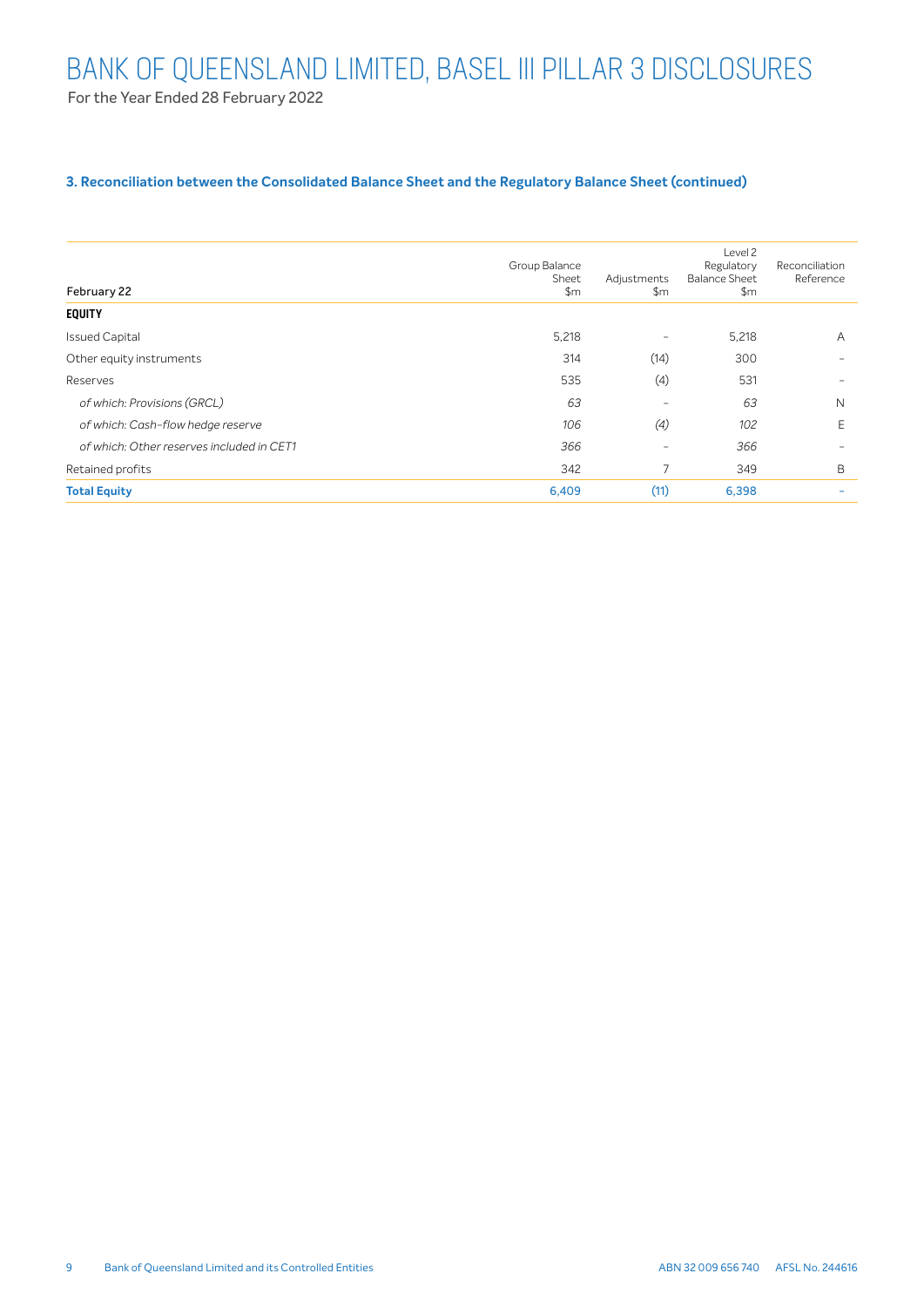### **3. Reconciliation between the Consolidated Balance Sheet and the Regulatory Balance Sheet (continued)**

| February 22                               | Group Balance<br>Sheet<br>\$m | Adjustments<br>\$m       | Level 2<br>Regulatory<br><b>Balance Sheet</b><br>\$m | Reconciliation<br>Reference |
|-------------------------------------------|-------------------------------|--------------------------|------------------------------------------------------|-----------------------------|
| <b>EQUITY</b>                             |                               |                          |                                                      |                             |
| <b>Issued Capital</b>                     | 5,218                         | $\overline{\phantom{a}}$ | 5,218                                                | A                           |
| Other equity instruments                  | 314                           | (14)                     | 300                                                  | $\overline{\phantom{m}}$    |
| Reserves                                  | 535                           | (4)                      | 531                                                  | $\overline{\phantom{m}}$    |
| of which: Provisions (GRCL)               | 63                            | -                        | 63                                                   | $\mathsf{N}$                |
| of which: Cash-flow hedge reserve         | 106                           | (4)                      | 102                                                  | E                           |
| of which: Other reserves included in CET1 | 366                           | -                        | 366                                                  | $\overline{\phantom{m}}$    |
| Retained profits                          | 342                           |                          | 349                                                  | B                           |
| <b>Total Equity</b>                       | 6,409                         | (11)                     | 6,398                                                | ۰                           |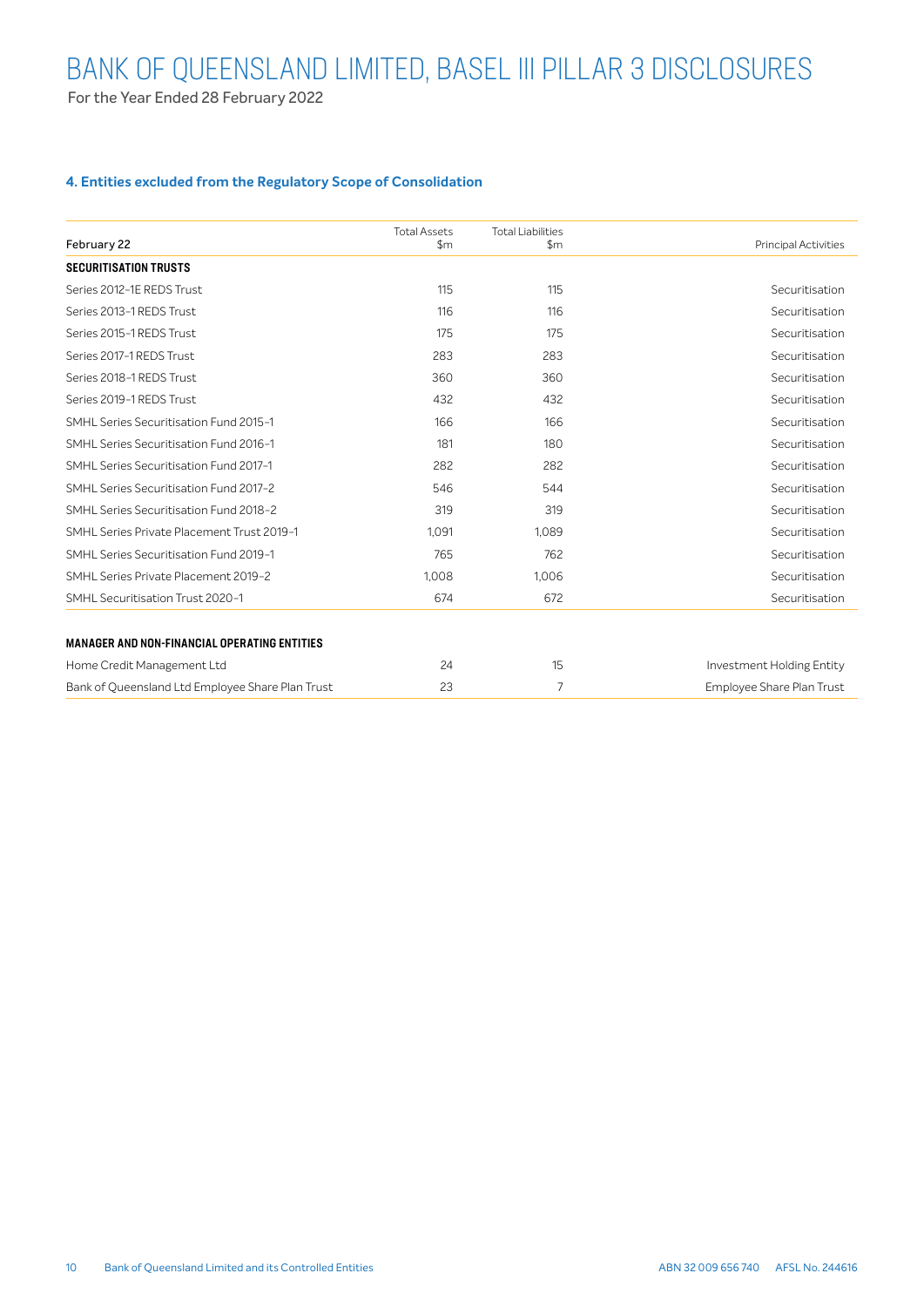For the Year Ended 28 February 2022

### **4. Entities excluded from the Regulatory Scope of Consolidation**

| February 22                                         | <b>Total Assets</b><br>\$m\$ | <b>Total Liabilities</b><br>$\mathsf{Sm}$ | <b>Principal Activities</b> |
|-----------------------------------------------------|------------------------------|-------------------------------------------|-----------------------------|
| <b>SECURITISATION TRUSTS</b>                        |                              |                                           |                             |
| Series 2012-1E REDS Trust                           | 115                          | 115                                       | Securitisation              |
| Series 2013-1 REDS Trust                            | 116                          | 116                                       | Securitisation              |
| Series 2015-1 REDS Trust                            | 175                          | 175                                       | Securitisation              |
| Series 2017-1 REDS Trust                            | 283                          | 283                                       | Securitisation              |
| Series 2018-1 REDS Trust                            | 360                          | 360                                       | Securitisation              |
| Series 2019-1 REDS Trust                            | 432                          | 432                                       | Securitisation              |
| SMHL Series Securitisation Fund 2015-1              | 166                          | 166                                       | Securitisation              |
| SMHL Series Securitisation Fund 2016-1              | 181                          | 180                                       | Securitisation              |
| SMHL Series Securitisation Fund 2017-1              | 282                          | 282                                       | Securitisation              |
| SMHL Series Securitisation Fund 2017-2              | 546                          | 544                                       | Securitisation              |
| SMHL Series Securitisation Fund 2018-2              | 319                          | 319                                       | Securitisation              |
| SMHL Series Private Placement Trust 2019-1          | 1.091                        | 1.089                                     | Securitisation              |
| SMHL Series Securitisation Fund 2019-1              | 765                          | 762                                       | Securitisation              |
| SMHL Series Private Placement 2019-2                | 1,008                        | 1.006                                     | Securitisation              |
| SMHL Securitisation Trust 2020-1                    | 674                          | 672                                       | Securitisation              |
| <b>MANAGER AND NON-FINANCIAL OPERATING ENTITIES</b> |                              |                                           |                             |
| Home Credit Management Ltd                          | 24                           | 15                                        | Investment Holding Entity   |
| Bank of Queensland Ltd Employee Share Plan Trust    | 23                           | 7                                         | Employee Share Plan Trust   |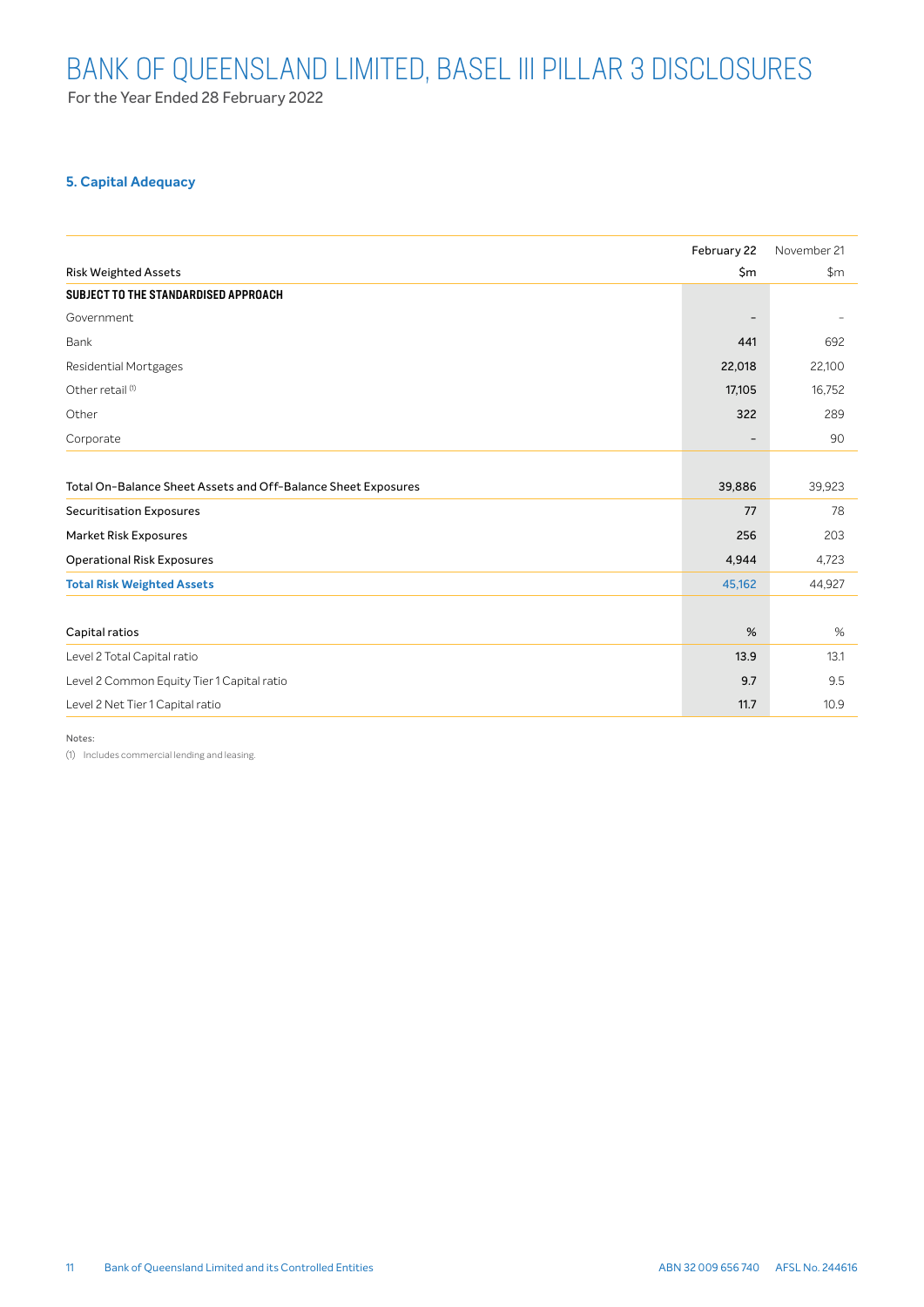For the Year Ended 28 February 2022

# **5. Capital Adequacy**

|                                                               | February 22    | November 21   |
|---------------------------------------------------------------|----------------|---------------|
| <b>Risk Weighted Assets</b>                                   | $\mathsf{S}$ m | $\mathsf{Sm}$ |
| SUBJECT TO THE STANDARDISED APPROACH                          |                |               |
| Government                                                    |                |               |
| Bank                                                          | 441            | 692           |
| <b>Residential Mortgages</b>                                  | 22,018         | 22,100        |
| Other retail <sup>(1)</sup>                                   | 17,105         | 16,752        |
| Other                                                         | 322            | 289           |
| Corporate                                                     |                | 90            |
|                                                               |                |               |
| Total On-Balance Sheet Assets and Off-Balance Sheet Exposures | 39,886         | 39,923        |
| <b>Securitisation Exposures</b>                               | 77             | 78            |
| <b>Market Risk Exposures</b>                                  | 256            | 203           |
| <b>Operational Risk Exposures</b>                             | 4,944          | 4,723         |
| <b>Total Risk Weighted Assets</b>                             | 45,162         | 44,927        |
|                                                               |                |               |
| Capital ratios                                                | %              | %             |
| Level 2 Total Capital ratio                                   | 13.9           | 13.1          |
| Level 2 Common Equity Tier 1 Capital ratio                    | 9.7            | 9.5           |
| Level 2 Net Tier 1 Capital ratio                              | 11.7           | 10.9          |

Notes:

(1) Includes commercial lending and leasing.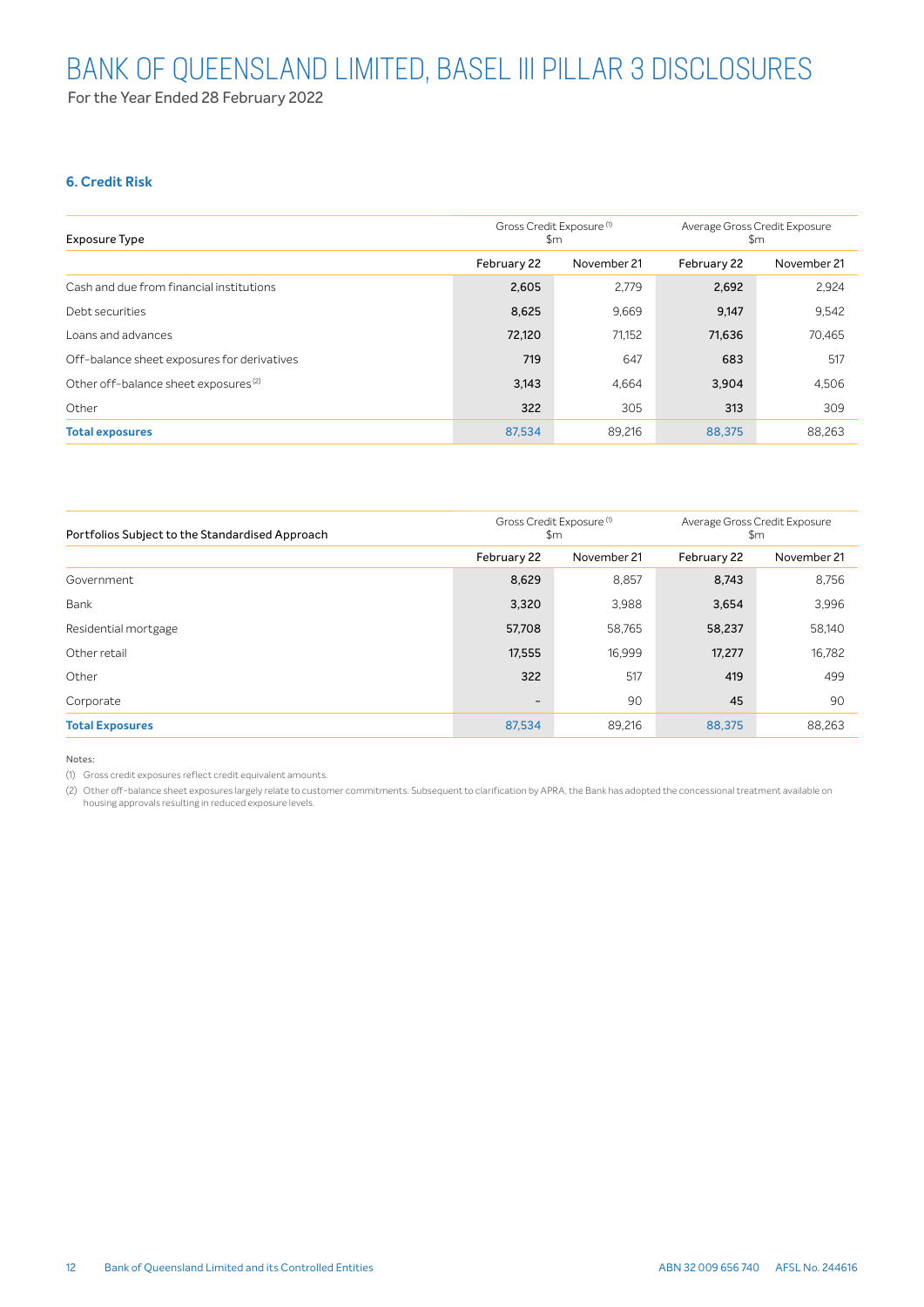# **6. Credit Risk**

| <b>Exposure Type</b>                             | Gross Credit Exposure <sup>(1)</sup><br>\$m |        | Average Gross Credit Exposure<br>\$m |             |  |
|--------------------------------------------------|---------------------------------------------|--------|--------------------------------------|-------------|--|
|                                                  | February 22<br>November 21                  |        | February 22                          | November 21 |  |
| Cash and due from financial institutions         | 2,605                                       | 2,779  | 2,692                                | 2,924       |  |
| Debt securities                                  | 8,625                                       | 9,669  | 9,147                                | 9,542       |  |
| Loans and advances                               | 72,120                                      | 71,152 | 71,636                               | 70,465      |  |
| Off-balance sheet exposures for derivatives      | 719                                         | 647    | 683                                  | 517         |  |
| Other off-balance sheet exposures <sup>(2)</sup> | 3,143                                       | 4,664  | 3,904                                | 4,506       |  |
| Other                                            | 322                                         | 305    | 313                                  | 309         |  |
| <b>Total exposures</b>                           | 87,534                                      | 89.216 | 88,375                               | 88,263      |  |

| Portfolios Subject to the Standardised Approach | Gross Credit Exposure <sup>(1)</sup><br>\$m |             | Average Gross Credit Exposure<br>$\mathsf{Sm}$ |             |  |
|-------------------------------------------------|---------------------------------------------|-------------|------------------------------------------------|-------------|--|
|                                                 | February 22                                 | November 21 | February 22                                    | November 21 |  |
| Government                                      | 8,629                                       | 8,857       | 8,743                                          | 8,756       |  |
| Bank                                            | 3,320                                       | 3,988       | 3,654                                          | 3,996       |  |
| Residential mortgage                            | 57,708                                      | 58,765      | 58,237                                         | 58,140      |  |
| Other retail                                    | 17,555                                      | 16,999      | 17,277                                         | 16,782      |  |
| Other                                           | 322                                         | 517         | 419                                            | 499         |  |
| Corporate                                       | $\overline{\phantom{a}}$                    | 90          | 45                                             | 90          |  |
| <b>Total Exposures</b>                          | 87,534                                      | 89,216      | 88,375                                         | 88,263      |  |

Notes:

(1) Gross credit exposures reflect credit equivalent amounts.

(2) Other off-balance sheet exposures largely relate to customer commitments. Subsequent to clarification by APRA, the Bank has adopted the concessional treatment available on housing approvals resulting in reduced exposure levels.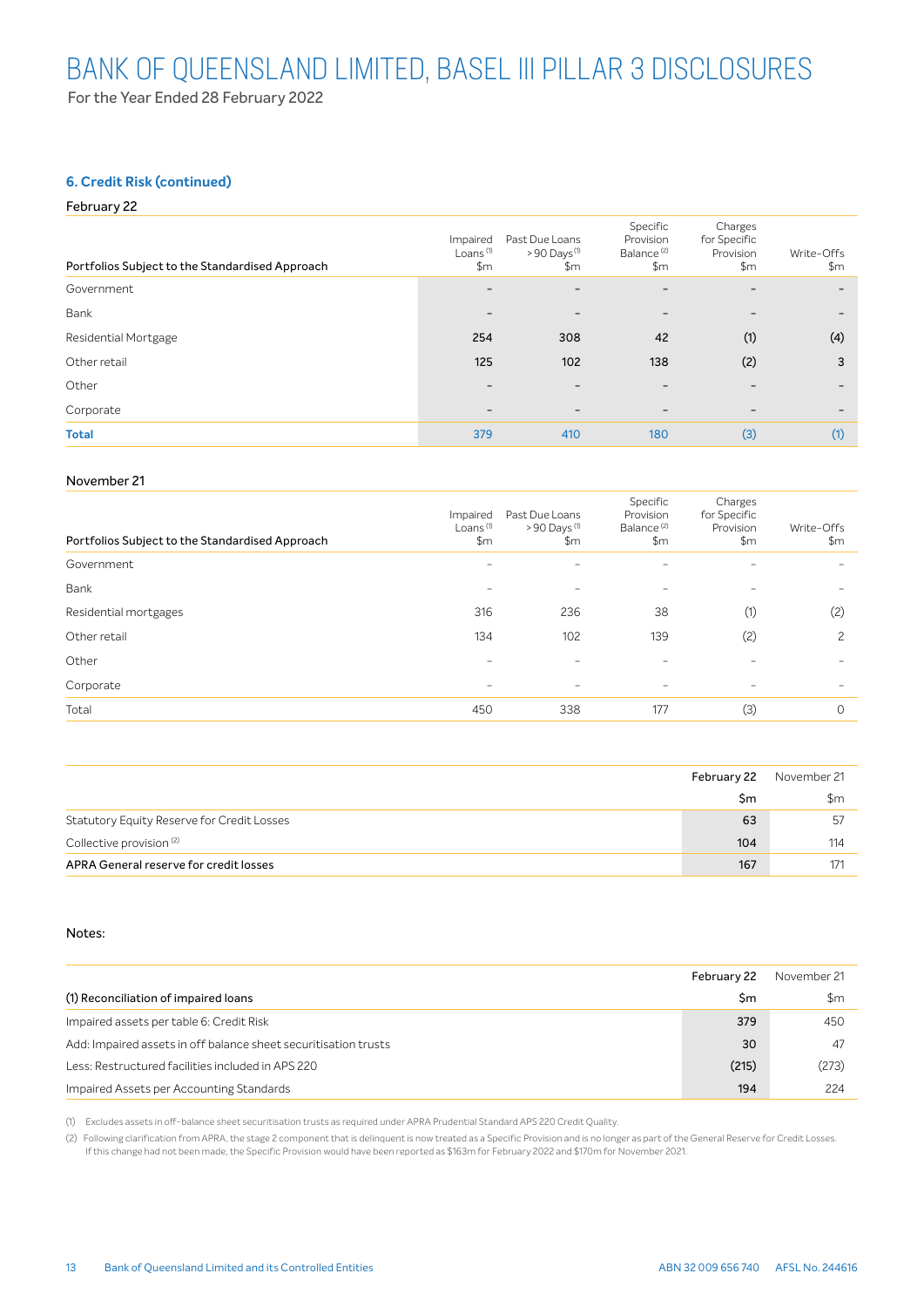### **6. Credit Risk (continued)**

#### February 22

| Portfolios Subject to the Standardised Approach | Impaired<br>Loans <sup>(1)</sup><br>\$m | Past Due Loans<br>$>90$ Days <sup>(1)</sup><br>\$m | Specific<br>Provision<br>Balance <sup>(2)</sup><br>\$m\$ | Charges<br>for Specific<br>Provision<br>\$m\$ | Write-Offs<br>\$m\$      |
|-------------------------------------------------|-----------------------------------------|----------------------------------------------------|----------------------------------------------------------|-----------------------------------------------|--------------------------|
| Government                                      | $\qquad \qquad -$                       | $\overline{\phantom{0}}$                           | $\overline{\phantom{0}}$                                 | -                                             | $\overline{\phantom{0}}$ |
| Bank                                            |                                         | $\qquad \qquad$                                    | $\overline{\phantom{0}}$                                 | -                                             |                          |
| Residential Mortgage                            | 254                                     | 308                                                | 42                                                       | (1)                                           | (4)                      |
| Other retail                                    | 125                                     | 102                                                | 138                                                      | (2)                                           | 3                        |
| Other                                           |                                         | -                                                  | -                                                        |                                               |                          |
| Corporate                                       | -                                       | $\overline{\phantom{0}}$                           | $\overline{\phantom{0}}$                                 | -                                             | -                        |
| <b>Total</b>                                    | 379                                     | 410                                                | 180                                                      | (3)                                           | (1)                      |

#### November 21

| Portfolios Subject to the Standardised Approach | Impaired<br>Loans <sup>(1)</sup><br>\$m | Past Due Loans<br>$>90$ Days $(1)$<br>\$m | Specific<br>Provision<br>Balance <sup>(2)</sup><br>\$m\$ | Charges<br>for Specific<br>Provision<br>\$m\$ | Write-Offs<br>\$m\$      |
|-------------------------------------------------|-----------------------------------------|-------------------------------------------|----------------------------------------------------------|-----------------------------------------------|--------------------------|
| Government                                      | $\overline{\phantom{a}}$                | $\overline{\phantom{a}}$                  | $\overline{\phantom{a}}$                                 | -                                             |                          |
| Bank                                            | $\overline{\phantom{a}}$                | $\overline{\phantom{a}}$                  | $\overline{\phantom{a}}$                                 | $\overline{\phantom{0}}$                      | $\overline{\phantom{a}}$ |
| Residential mortgages                           | 316                                     | 236                                       | 38                                                       | (1)                                           | (2)                      |
| Other retail                                    | 134                                     | 102                                       | 139                                                      | (2)                                           | 2                        |
| Other                                           | -                                       | $\qquad \qquad$                           | $\sim$                                                   | -                                             | $\overline{\phantom{0}}$ |
| Corporate                                       | -                                       | $\qquad \qquad$                           | $\overline{\phantom{a}}$                                 | -                                             | $\overline{\phantom{0}}$ |
| Total                                           | 450                                     | 338                                       | 177                                                      | (3)                                           | $\Omega$                 |

|                                            | February 22 | November 21 |
|--------------------------------------------|-------------|-------------|
|                                            | Sm          | \$m         |
| Statutory Equity Reserve for Credit Losses | 63          | -57         |
| Collective provision <sup>(2)</sup>        | 104         | 114         |
| APRA General reserve for credit losses     | 167         |             |

#### Notes:

|                                                                 | February 22 | November 21   |
|-----------------------------------------------------------------|-------------|---------------|
| (1) Reconciliation of impaired loans                            | Sm          | $\mathsf{Sm}$ |
| Impaired assets per table 6: Credit Risk                        | 379         | 450           |
| Add: Impaired assets in off balance sheet securitisation trusts | 30          | 47            |
| Less: Restructured facilities included in APS 220               | (215)       | (273)         |
| Impaired Assets per Accounting Standards                        | 194         | 224           |

(1) Excludes assets in off-balance sheet securitisation trusts as required under APRA Prudential Standard APS 220 Credit Quality.

(2) Following clarification from APRA, the stage 2 component that is delinquent is now treated as a Specific Provision and is no longer as part of the General Reserve for Credit Losses. If this change had not been made, the Specific Provision would have been reported as \$163m for February 2022 and \$170m for November 2021.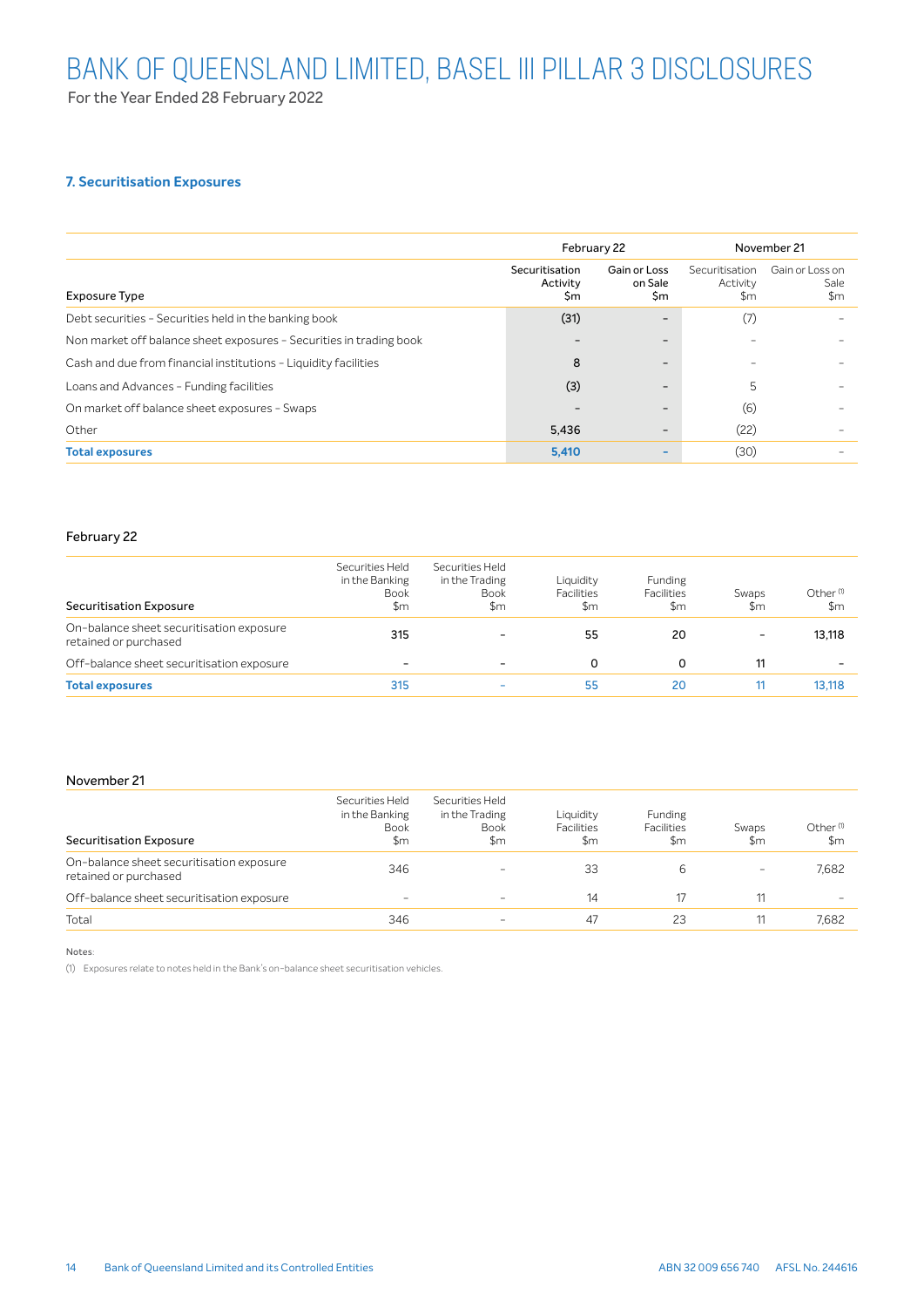For the Year Ended 28 February 2022

### **7. Securitisation Exposures**

|                                                                     |                                  | February 22                   | November 21                       |                                          |  |
|---------------------------------------------------------------------|----------------------------------|-------------------------------|-----------------------------------|------------------------------------------|--|
| Exposure Type                                                       | Securitisation<br>Activity<br>Sm | Gain or Loss<br>on Sale<br>Şm | Securitisation<br>Activity<br>\$m | Gain or Loss on<br>Sale<br>$\mathsf{Sm}$ |  |
| Debt securities - Securities held in the banking book               | (31)                             | -                             | (7)                               |                                          |  |
| Non market off balance sheet exposures - Securities in trading book |                                  | -                             |                                   |                                          |  |
| Cash and due from financial institutions - Liquidity facilities     | 8                                | ۰                             |                                   |                                          |  |
| Loans and Advances - Funding facilities                             | (3)                              | -                             | 5                                 |                                          |  |
| On market off balance sheet exposures - Swaps                       |                                  | -                             | (6)                               |                                          |  |
| Other                                                               | 5,436                            | $\overline{\phantom{0}}$      | (22)                              |                                          |  |
| <b>Total exposures</b>                                              | 5,410                            | ٠                             | (30)                              |                                          |  |

#### February 22

| <b>Securitisation Exposure</b>                                    | Securities Held<br>in the Banking<br><b>Book</b><br>\$m | Securities Held<br>in the Trading<br><b>Book</b><br>\$m | Liquidity<br><b>Facilities</b><br>\$m | <b>Funding</b><br><b>Facilities</b><br>\$m | Swaps<br>\$m             | Other <sup>(1)</sup><br>\$m |
|-------------------------------------------------------------------|---------------------------------------------------------|---------------------------------------------------------|---------------------------------------|--------------------------------------------|--------------------------|-----------------------------|
| On-balance sheet securitisation exposure<br>retained or purchased | 315                                                     | -                                                       | 55                                    | 20                                         | $\overline{\phantom{0}}$ | 13.118                      |
| Off-balance sheet securitisation exposure                         | -                                                       | $\equiv$                                                | 0                                     | 0                                          | 11                       |                             |
| <b>Total exposures</b>                                            | 315                                                     | -                                                       | 55                                    | 20                                         |                          | 13.118                      |

#### November 21

| <b>Securitisation Exposure</b>                                    | Securities Held<br>in the Banking<br><b>Book</b><br>\$m | Securities Held<br>in the Trading<br><b>Book</b><br>\$m | Liquidity<br><b>Facilities</b><br>\$m | Funding<br><b>Facilities</b><br>\$m | Swaps<br>\$m | Other <sup>(1)</sup><br>\$m |
|-------------------------------------------------------------------|---------------------------------------------------------|---------------------------------------------------------|---------------------------------------|-------------------------------------|--------------|-----------------------------|
| On-balance sheet securitisation exposure<br>retained or purchased | 346                                                     | $\sim$                                                  | 33                                    | 6                                   | -            | 7.682                       |
| Off-balance sheet securitisation exposure                         | ۰                                                       | $\sim$                                                  | 14                                    | 17                                  |              | -                           |
| Total                                                             | 346                                                     | -                                                       | 47                                    | 23                                  |              | 7.682                       |

Notes:

(1) Exposures relate to notes held in the Bank's on-balance sheet securitisation vehicles.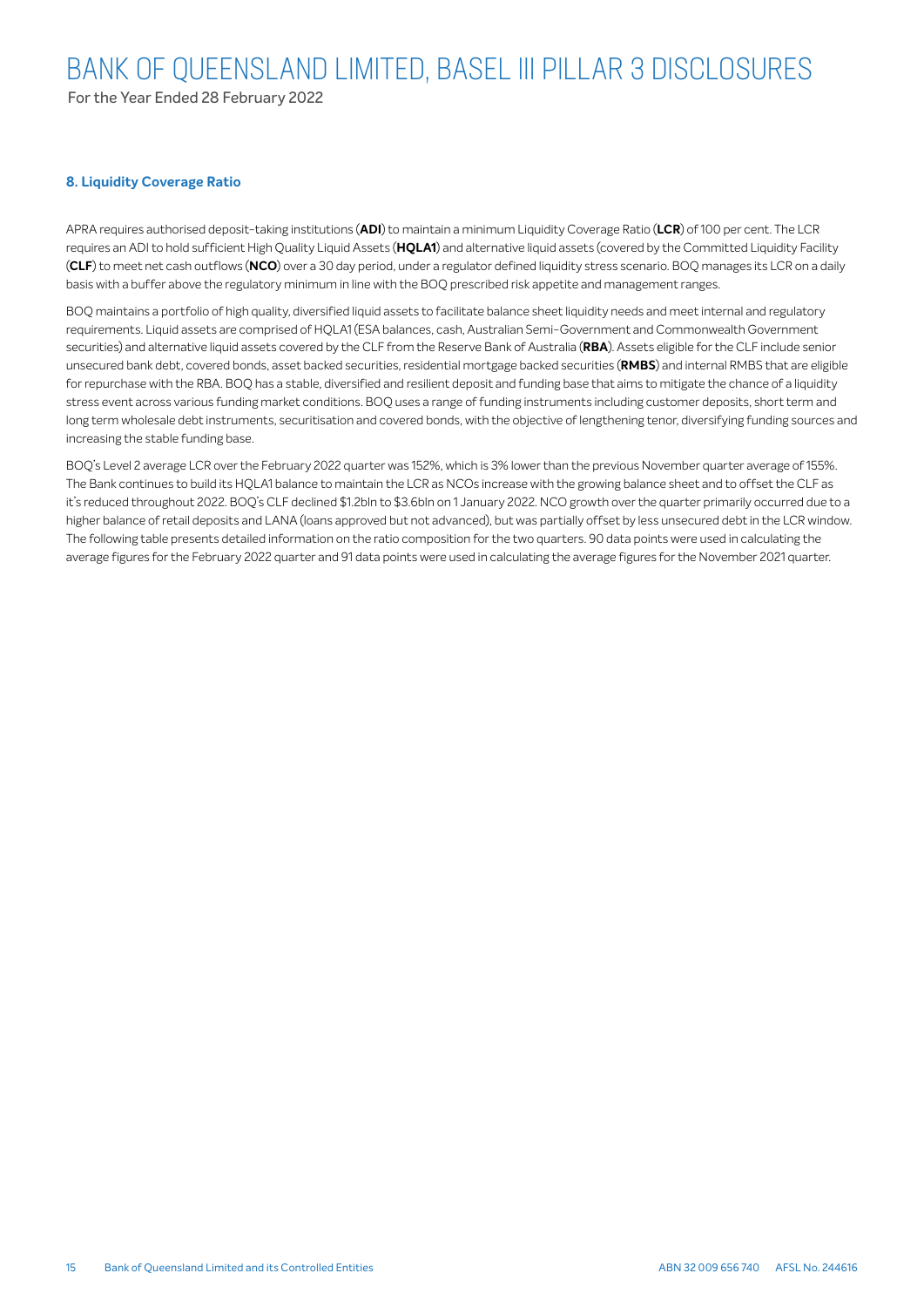For the Year Ended 28 February 2022

### **8. Liquidity Coverage Ratio**

APRA requires authorised deposit-taking institutions (**ADI**) to maintain a minimum Liquidity Coverage Ratio (**LCR**) of 100 per cent. The LCR requires an ADI to hold sufficient High Quality Liquid Assets (**HQLA1**) and alternative liquid assets (covered by the Committed Liquidity Facility (**CLF**) to meet net cash outflows (**NCO**) over a 30 day period, under a regulator defined liquidity stress scenario. BOQ manages its LCR on a daily basis with a buffer above the regulatory minimum in line with the BOQ prescribed risk appetite and management ranges.

BOQ maintains a portfolio of high quality, diversified liquid assets to facilitate balance sheet liquidity needs and meet internal and regulatory requirements. Liquid assets are comprised of HQLA1 (ESA balances, cash, Australian Semi-Government and Commonwealth Government securities) and alternative liquid assets covered by the CLF from the Reserve Bank of Australia (**RBA**). Assets eligible for the CLF include senior unsecured bank debt, covered bonds, asset backed securities, residential mortgage backed securities (**RMBS**) and internal RMBS that are eligible for repurchase with the RBA. BOQ has a stable, diversified and resilient deposit and funding base that aims to mitigate the chance of a liquidity stress event across various funding market conditions. BOQ uses a range of funding instruments including customer deposits, short term and long term wholesale debt instruments, securitisation and covered bonds, with the objective of lengthening tenor, diversifying funding sources and increasing the stable funding base.

BOQ's Level 2 average LCR over the February 2022 quarter was 152%, which is 3% lower than the previous November quarter average of 155%. The Bank continues to build its HQLA1 balance to maintain the LCR as NCOs increase with the growing balance sheet and to offset the CLF as it's reduced throughout 2022. BOQ's CLF declined \$1.2bln to \$3.6bln on 1 January 2022. NCO growth over the quarter primarily occurred due to a higher balance of retail deposits and LANA (loans approved but not advanced), but was partially offset by less unsecured debt in the LCR window. The following table presents detailed information on the ratio composition for the two quarters. 90 data points were used in calculating the average figures for the February 2022 quarter and 91 data points were used in calculating the average figures for the November 2021 quarter.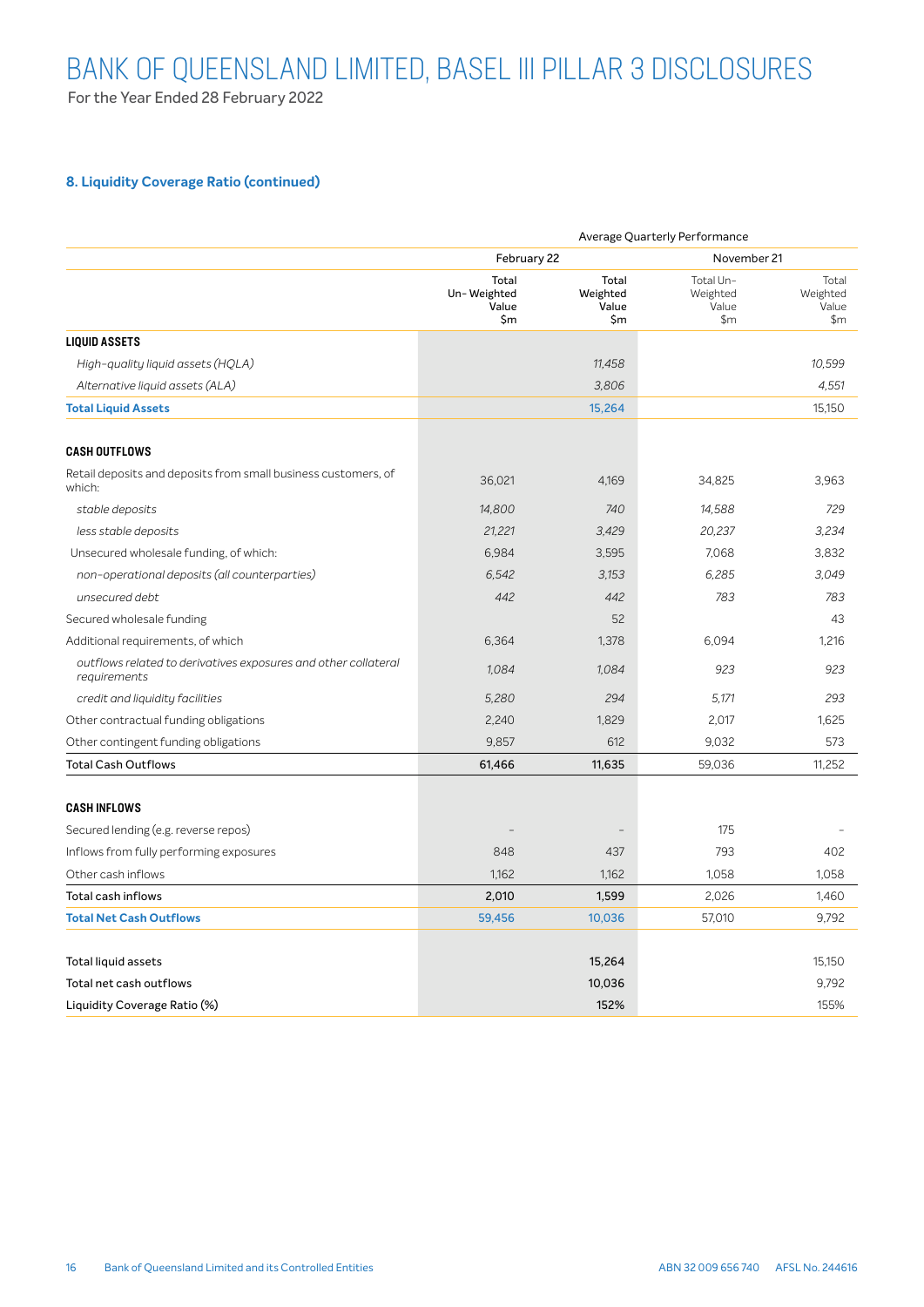For the Year Ended 28 February 2022

# **8. Liquidity Coverage Ratio (continued)**

|                                                                                | Average Quarterly Performance        |                                   |                                       |                                     |  |
|--------------------------------------------------------------------------------|--------------------------------------|-----------------------------------|---------------------------------------|-------------------------------------|--|
|                                                                                | February 22                          |                                   | November 21                           |                                     |  |
|                                                                                | Total<br>Un-Weighted<br>Value<br>\$m | Total<br>Weighted<br>Value<br>\$m | Total Un-<br>Weighted<br>Value<br>\$m | Total<br>Weighted<br>Value<br>\$m\$ |  |
| <b>LIQUID ASSETS</b>                                                           |                                      |                                   |                                       |                                     |  |
| High-quality liquid assets (HQLA)                                              |                                      | 11,458                            |                                       | 10,599                              |  |
| Alternative liquid assets (ALA)                                                |                                      | 3,806                             |                                       | 4,551                               |  |
| <b>Total Liquid Assets</b>                                                     |                                      | 15,264                            |                                       | 15,150                              |  |
| <b>CASH OUTFLOWS</b>                                                           |                                      |                                   |                                       |                                     |  |
| Retail deposits and deposits from small business customers, of<br>which:       | 36,021                               | 4,169                             | 34,825                                | 3,963                               |  |
| stable deposits                                                                | 14,800                               | 740                               | 14,588                                | 729                                 |  |
| less stable deposits                                                           | 21,221                               | 3,429                             | 20,237                                | 3,234                               |  |
| Unsecured wholesale funding, of which:                                         | 6,984                                | 3,595                             | 7,068                                 | 3,832                               |  |
| non-operational deposits (all counterparties)                                  | 6,542                                | 3.153                             | 6.285                                 | 3.049                               |  |
| unsecured debt                                                                 | 442                                  | 442                               | 783                                   | 783                                 |  |
| Secured wholesale funding                                                      |                                      | 52                                |                                       | 43                                  |  |
| Additional requirements, of which                                              | 6,364                                | 1,378                             | 6.094                                 | 1,216                               |  |
| outflows related to derivatives exposures and other collateral<br>requirements | 1,084                                | 1,084                             | 923                                   | 923                                 |  |
| credit and liquidity facilities                                                | 5,280                                | 294                               | 5.171                                 | 293                                 |  |
| Other contractual funding obligations                                          | 2,240                                | 1,829                             | 2,017                                 | 1,625                               |  |
| Other contingent funding obligations                                           | 9,857                                | 612                               | 9,032                                 | 573                                 |  |
| <b>Total Cash Outflows</b>                                                     | 61,466                               | 11,635                            | 59,036                                | 11,252                              |  |
| <b>CASH INFLOWS</b>                                                            |                                      |                                   |                                       |                                     |  |
| Secured lending (e.g. reverse repos)                                           |                                      |                                   | 175                                   |                                     |  |
| Inflows from fully performing exposures                                        | 848                                  | 437                               | 793                                   | 402                                 |  |
| Other cash inflows                                                             | 1,162                                | 1,162                             | 1,058                                 | 1,058                               |  |
| <b>Total cash inflows</b>                                                      | 2,010                                | 1,599                             | 2,026                                 | 1,460                               |  |
| <b>Total Net Cash Outflows</b>                                                 | 59,456                               | 10,036                            | 57,010                                | 9,792                               |  |
| Total liquid assets                                                            |                                      | 15,264                            |                                       | 15,150                              |  |
| Total net cash outflows                                                        |                                      | 10,036                            |                                       | 9,792                               |  |
| Liquidity Coverage Ratio (%)                                                   |                                      | 152%                              |                                       | 155%                                |  |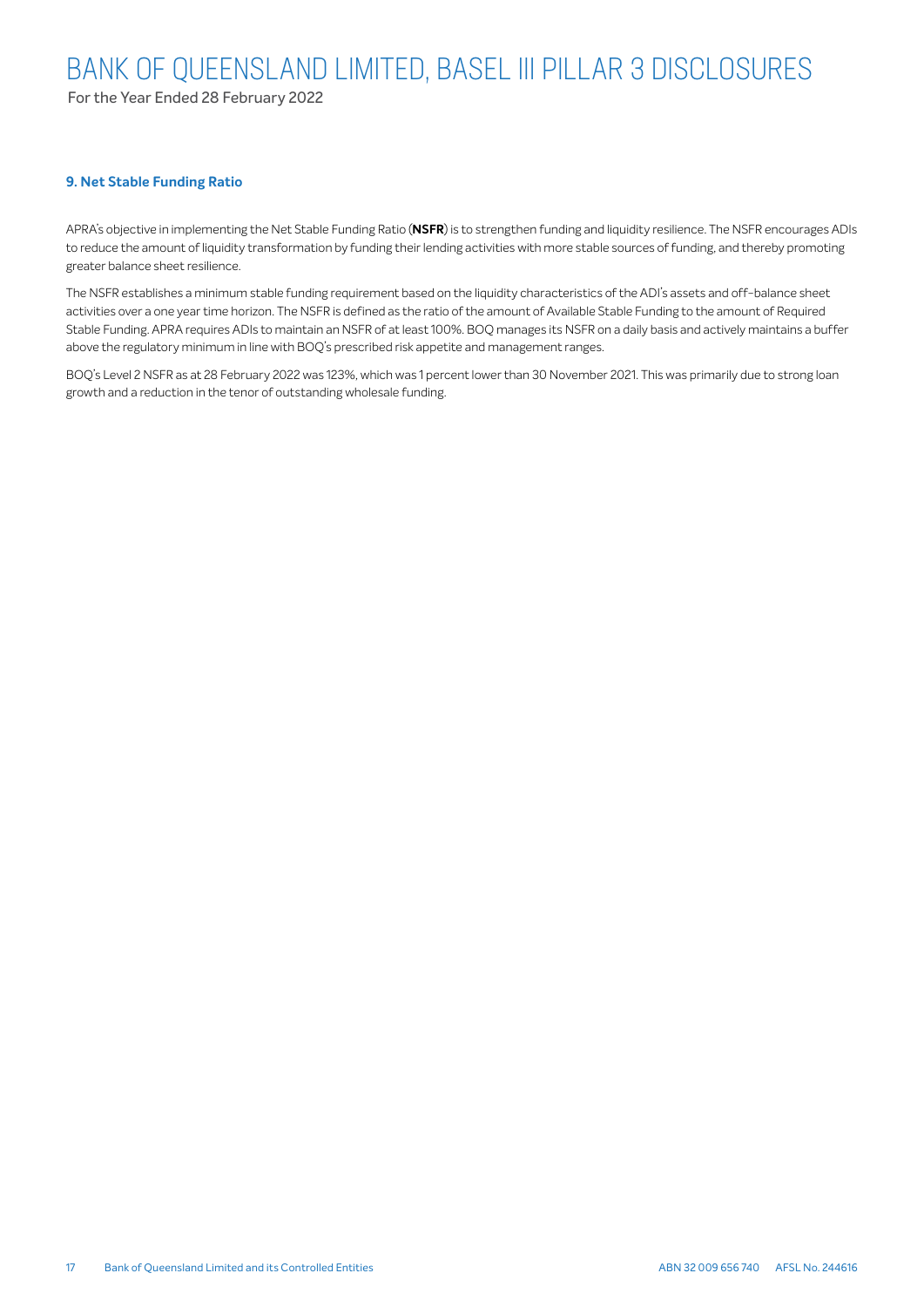For the Year Ended 28 February 2022

#### **9. Net Stable Funding Ratio**

APRA's objective in implementing the Net Stable Funding Ratio (**NSFR**) is to strengthen funding and liquidity resilience. The NSFR encourages ADIs to reduce the amount of liquidity transformation by funding their lending activities with more stable sources of funding, and thereby promoting greater balance sheet resilience.

The NSFR establishes a minimum stable funding requirement based on the liquidity characteristics of the ADI's assets and off-balance sheet activities over a one year time horizon. The NSFR is defined as the ratio of the amount of Available Stable Funding to the amount of Required Stable Funding. APRA requires ADIs to maintain an NSFR of at least 100%. BOQ manages its NSFR on a daily basis and actively maintains a buffer above the regulatory minimum in line with BOQ's prescribed risk appetite and management ranges.

BOQ's Level 2 NSFR as at 28 February 2022 was 123%, which was 1 percent lower than 30 November 2021. This was primarily due to strong loan growth and a reduction in the tenor of outstanding wholesale funding.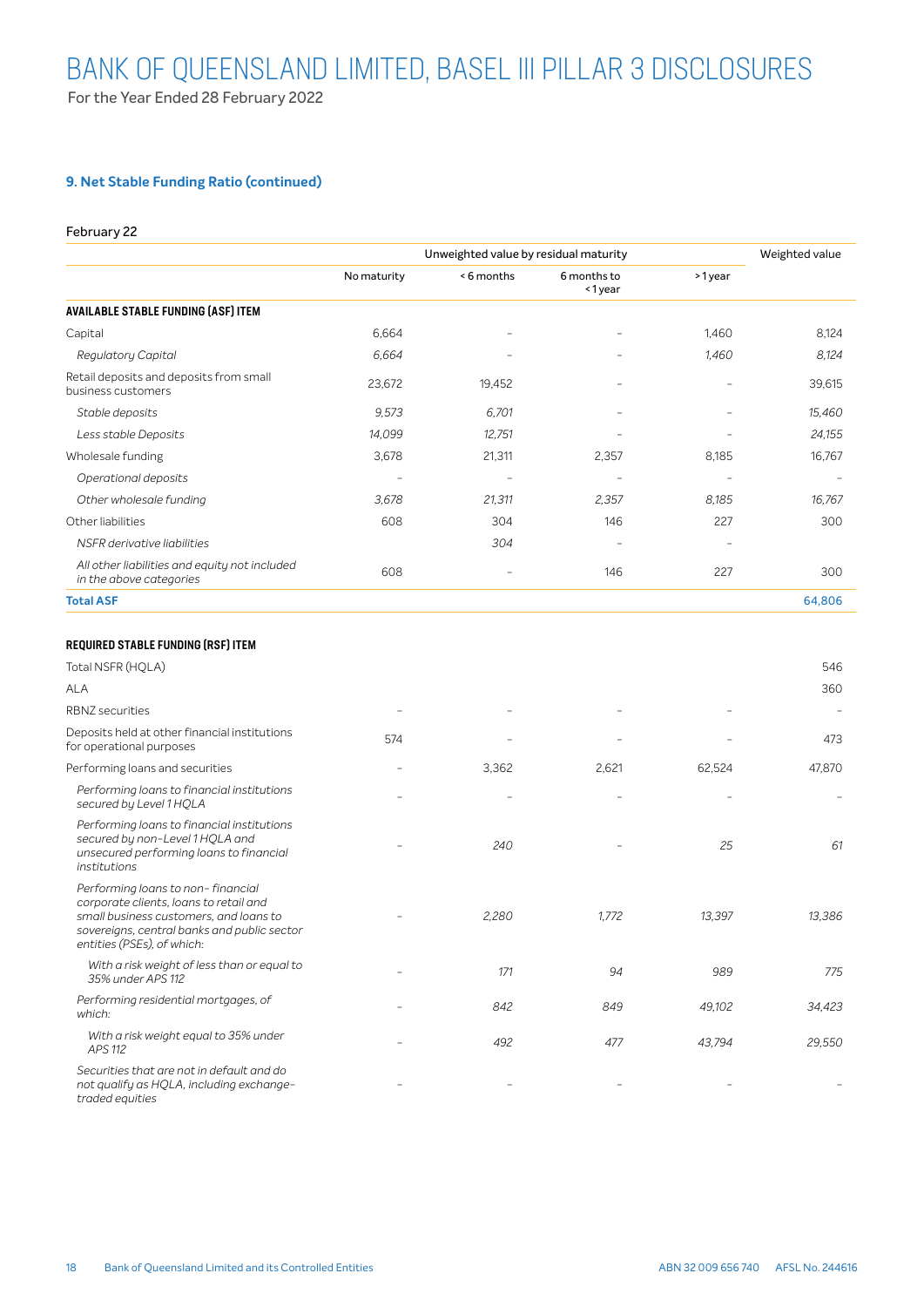# **9. Net Stable Funding Ratio (continued)**

#### February 22

|                                                                          | Unweighted value by residual maturity | Weighted value |                          |                          |                          |
|--------------------------------------------------------------------------|---------------------------------------|----------------|--------------------------|--------------------------|--------------------------|
|                                                                          | No maturity                           | <6 months      | 6 months to<br><1year    | >1year                   |                          |
| <b>AVAILABLE STABLE FUNDING (ASF) ITEM</b>                               |                                       |                |                          |                          |                          |
| Capital                                                                  | 6,664                                 | -              | -                        | 1,460                    | 8,124                    |
| Regulatory Capital                                                       | 6,664                                 |                | $\overline{\phantom{a}}$ | 1,460                    | 8,124                    |
| Retail deposits and deposits from small<br>business customers            | 23,672                                | 19,452         | $\qquad \qquad$          |                          | 39,615                   |
| Stable deposits                                                          | 9,573                                 | 6,701          | $\overline{\phantom{a}}$ |                          | 15,460                   |
| Less stable Deposits                                                     | 14,099                                | 12,751         | $\overline{\phantom{0}}$ |                          | 24,155                   |
| Wholesale funding                                                        | 3,678                                 | 21,311         | 2,357                    | 8,185                    | 16,767                   |
| Operational deposits                                                     | -                                     | -              | $\overline{\phantom{a}}$ | $\overline{\phantom{a}}$ | $\overline{\phantom{a}}$ |
| Other wholesale funding                                                  | 3,678                                 | 21,311         | 2,357                    | 8,185                    | 16,767                   |
| Other liabilities                                                        | 608                                   | 304            | 146                      | 227                      | 300                      |
| NSFR derivative liabilities                                              |                                       | 304            | $\overline{\phantom{a}}$ |                          |                          |
| All other liabilities and equity not included<br>in the above categories | 608                                   |                | 146                      | 227                      | 300                      |
| <b>Total ASF</b>                                                         |                                       |                |                          |                          | 64,806                   |
|                                                                          |                                       |                |                          |                          |                          |

### REQUIRED STABLE FUNDING (RSF) ITEM

| Total NSFR (HQLA)                                                                                                                                                                                  |     |       |       |        | 546    |
|----------------------------------------------------------------------------------------------------------------------------------------------------------------------------------------------------|-----|-------|-------|--------|--------|
| ALA                                                                                                                                                                                                |     |       |       |        | 360    |
| <b>RBNZ</b> securities                                                                                                                                                                             |     |       |       |        |        |
| Deposits held at other financial institutions<br>for operational purposes                                                                                                                          | 574 |       |       |        | 473    |
| Performing loans and securities                                                                                                                                                                    |     | 3,362 | 2,621 | 62,524 | 47,870 |
| Performing loans to financial institutions<br>secured by Level 1 HQLA                                                                                                                              |     |       |       |        |        |
| Performing loans to financial institutions<br>secured by non-Level 1 HQLA and<br>unsecured performing loans to financial<br>institutions                                                           |     | 240   |       | 25     | 61     |
| Performing loans to non-financial<br>corporate clients, loans to retail and<br>small business customers, and loans to<br>sovereigns, central banks and public sector<br>entities (PSEs), of which: |     | 2,280 | 1.772 | 13,397 | 13,386 |
| With a risk weight of less than or equal to<br>35% under APS 112                                                                                                                                   |     | 171   | 94    | 989    | 775    |
| Performing residential mortgages, of<br>which:                                                                                                                                                     |     | 842   | 849   | 49,102 | 34,423 |
| With a risk weight equal to 35% under<br>APS 112                                                                                                                                                   |     | 492   | 477   | 43,794 | 29,550 |
| Securities that are not in default and do<br>not qualify as HQLA, including exchange-<br>traded equities                                                                                           |     |       |       |        |        |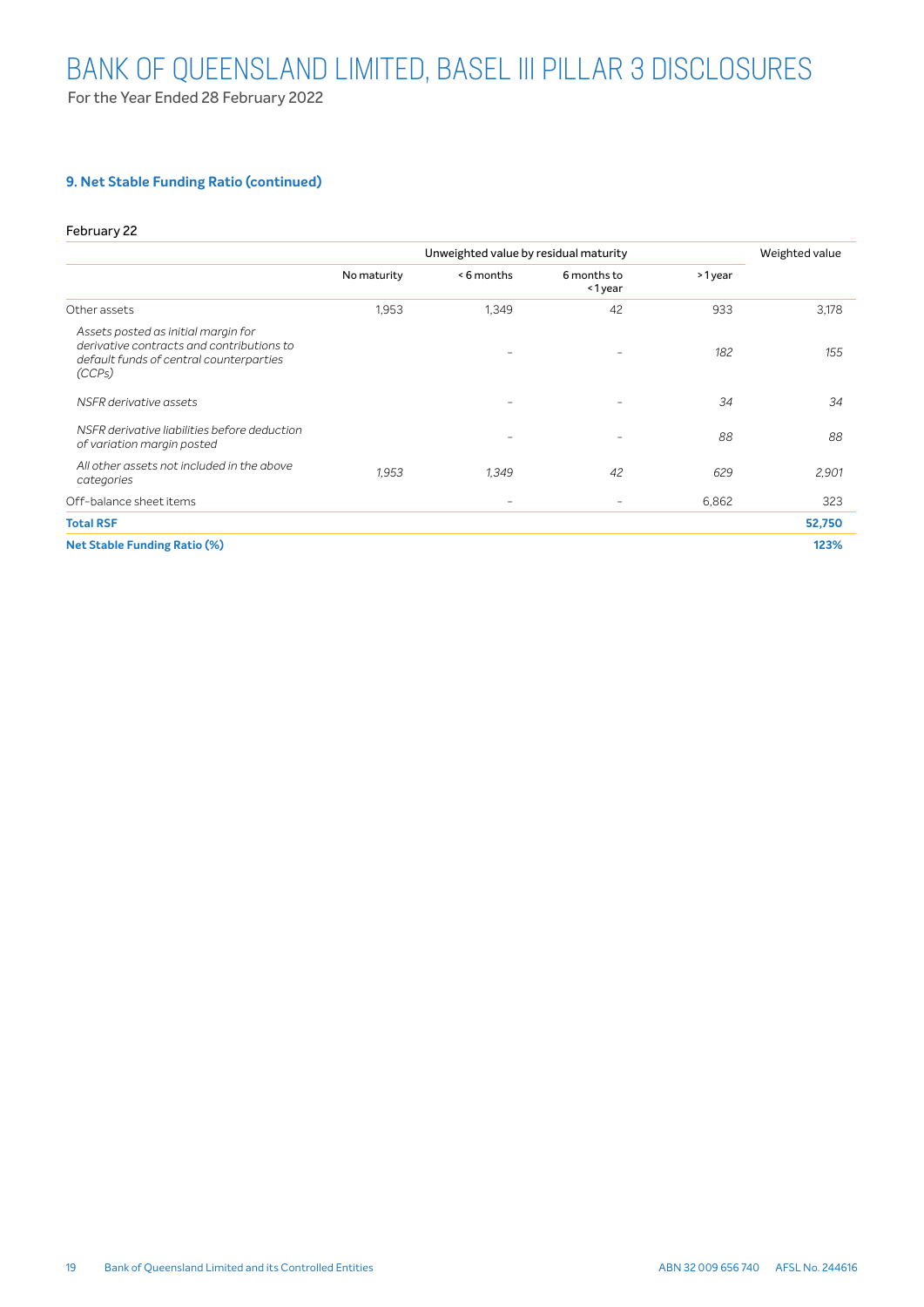# **9. Net Stable Funding Ratio (continued)**

#### February 22

|                                                                                                                                       | Unweighted value by residual maturity |           |                       |        | Weighted value |
|---------------------------------------------------------------------------------------------------------------------------------------|---------------------------------------|-----------|-----------------------|--------|----------------|
|                                                                                                                                       | No maturity                           | <6 months | 6 months to<br><1year | >1year |                |
| Other assets                                                                                                                          | 1,953                                 | 1,349     | 42                    | 933    | 3,178          |
| Assets posted as initial margin for<br>derivative contracts and contributions to<br>default funds of central counterparties<br>(CCPs) |                                       | -         | $\qquad \qquad$       | 182    | 155            |
| NSFR derivative assets                                                                                                                |                                       | -         | -                     | 34     | 34             |
| NSFR derivative liabilities before deduction<br>of variation margin posted                                                            |                                       | -         | ۰                     | 88     | 88             |
| All other assets not included in the above<br>categories                                                                              | 1.953                                 | 1.349     | 42                    | 629    | 2,901          |
| Off-balance sheet items                                                                                                               |                                       | -         | $\qquad \qquad$       | 6,862  | 323            |
| <b>Total RSF</b>                                                                                                                      |                                       |           |                       |        | 52,750         |
| <b>Net Stable Funding Ratio (%)</b>                                                                                                   |                                       |           |                       |        | 123%           |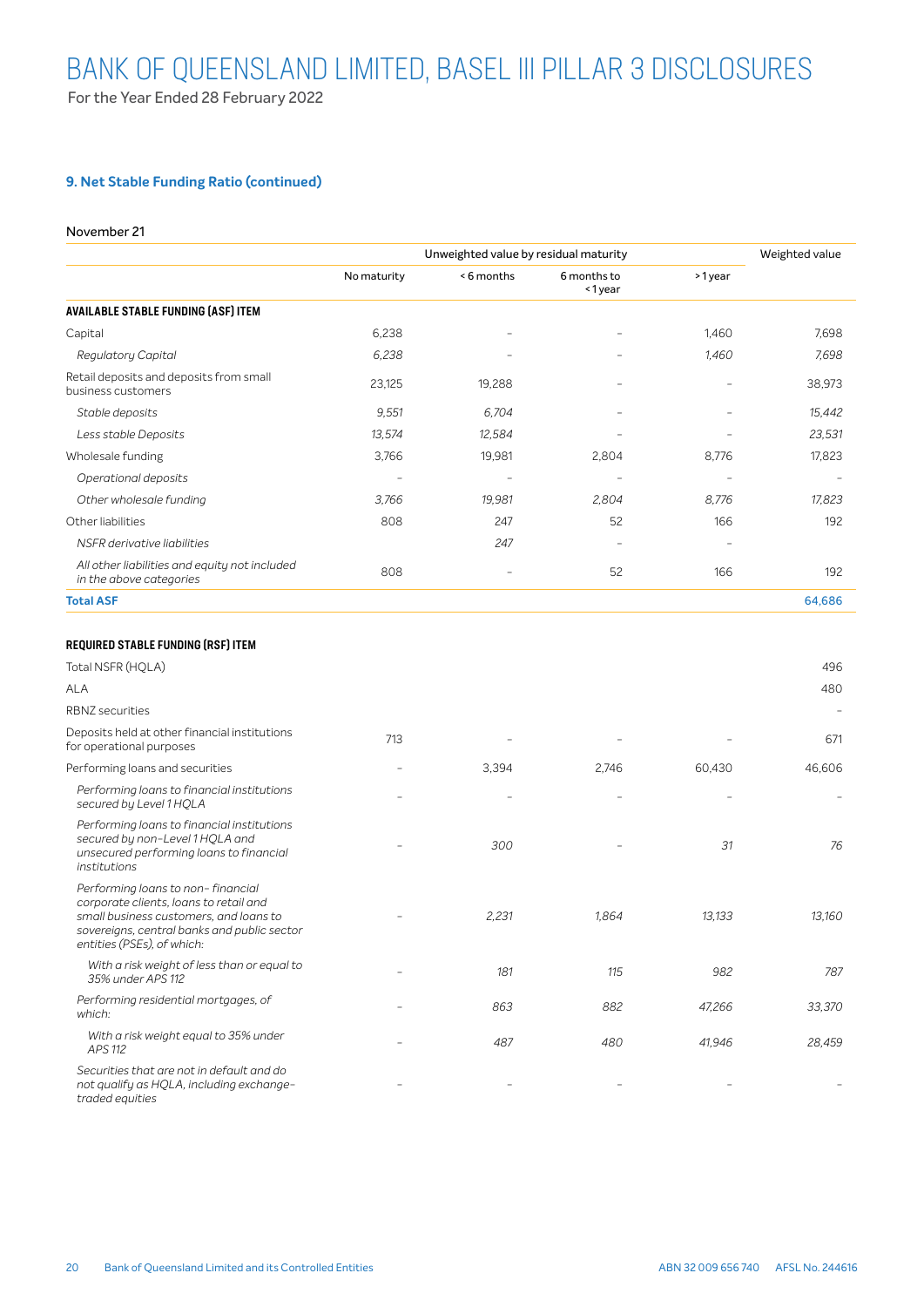# **9. Net Stable Funding Ratio (continued)**

#### November 21

|                                                                          | Unweighted value by residual maturity |           |                          |                          | Weighted value |
|--------------------------------------------------------------------------|---------------------------------------|-----------|--------------------------|--------------------------|----------------|
|                                                                          | No maturity                           | <6 months | 6 months to<br><1year    | >1year                   |                |
| <b>AVAILABLE STABLE FUNDING (ASF) ITEM</b>                               |                                       |           |                          |                          |                |
| Capital                                                                  | 6,238                                 |           | -                        | 1,460                    | 7,698          |
| Regulatory Capital                                                       | 6,238                                 |           | $\overline{\phantom{a}}$ | 1,460                    | 7,698          |
| Retail deposits and deposits from small<br>business customers            | 23,125                                | 19,288    |                          |                          | 38,973         |
| Stable deposits                                                          | 9,551                                 | 6,704     |                          |                          | 15,442         |
| Less stable Deposits                                                     | 13,574                                | 12,584    | ۰                        |                          | 23,531         |
| Wholesale funding                                                        | 3,766                                 | 19,981    | 2,804                    | 8,776                    | 17,823         |
| Operational deposits                                                     |                                       |           |                          |                          |                |
| Other wholesale funding                                                  | 3,766                                 | 19,981    | 2,804                    | 8,776                    | 17,823         |
| Other liabilities                                                        | 808                                   | 247       | 52                       | 166                      | 192            |
| NSFR derivative liabilities                                              |                                       | 247       | $\overline{\phantom{m}}$ | $\overline{\phantom{m}}$ |                |
| All other liabilities and equity not included<br>in the above categories | 808                                   |           | 52                       | 166                      | 192            |
| <b>Total ASF</b>                                                         |                                       |           |                          |                          | 64,686         |

### REQUIRED STABLE FUNDING (RSF) ITEM

| Total NSFR (HQLA)                                                                                                                                                                                  |     |       |       |        | 496    |
|----------------------------------------------------------------------------------------------------------------------------------------------------------------------------------------------------|-----|-------|-------|--------|--------|
| ALA                                                                                                                                                                                                |     |       |       |        | 480    |
| <b>RBNZ</b> securities                                                                                                                                                                             |     |       |       |        |        |
| Deposits held at other financial institutions<br>for operational purposes                                                                                                                          | 713 |       |       |        | 671    |
| Performing loans and securities                                                                                                                                                                    |     | 3,394 | 2,746 | 60,430 | 46,606 |
| Performing loans to financial institutions<br>secured by Level 1 HQLA                                                                                                                              |     |       |       |        |        |
| Performing loans to financial institutions<br>secured by non-Level 1 HOLA and<br>unsecured performing loans to financial<br>institutions                                                           |     | 300   |       | 31     | 76     |
| Performing loans to non-financial<br>corporate clients, loans to retail and<br>small business customers, and loans to<br>sovereigns, central banks and public sector<br>entities (PSEs), of which: |     | 2,231 | 1,864 | 13,133 | 13,160 |
| With a risk weight of less than or equal to<br>35% under APS 112                                                                                                                                   |     | 181   | 115   | 982    | 787    |
| Performing residential mortgages, of<br>which:                                                                                                                                                     |     | 863   | 882   | 47,266 | 33,370 |
| With a risk weight equal to 35% under<br><b>APS 112</b>                                                                                                                                            |     | 487   | 480   | 41,946 | 28,459 |
| Securities that are not in default and do<br>not qualify as HQLA, including exchange-<br>traded equities                                                                                           |     |       |       |        |        |